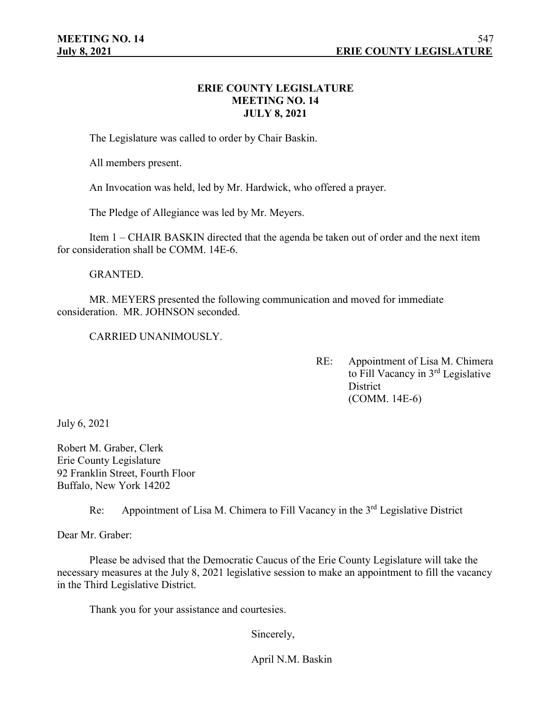## **ERIE COUNTY LEGISLATURE MEETING NO. 14 JULY 8, 2021**

The Legislature was called to order by Chair Baskin.

All members present.

An Invocation was held, led by Mr. Hardwick, who offered a prayer.

The Pledge of Allegiance was led by Mr. Meyers.

Item 1 – CHAIR BASKIN directed that the agenda be taken out of order and the next item for consideration shall be COMM. 14E-6.

GRANTED.

MR. MEYERS presented the following communication and moved for immediate consideration. MR. JOHNSON seconded.

CARRIED UNANIMOUSLY.

RE: Appointment of Lisa M. Chimera to Fill Vacancy in 3rd Legislative **District** (COMM. 14E-6)

July 6, 2021

Robert M. Graber, Clerk Erie County Legislature 92 Franklin Street, Fourth Floor Buffalo, New York 14202

Re: Appointment of Lisa M. Chimera to Fill Vacancy in the 3<sup>rd</sup> Legislative District

Dear Mr. Graber:

Please be advised that the Democratic Caucus of the Erie County Legislature will take the necessary measures at the July 8, 2021 legislative session to make an appointment to fill the vacancy in the Third Legislative District.

Thank you for your assistance and courtesies.

Sincerely,

April N.M. Baskin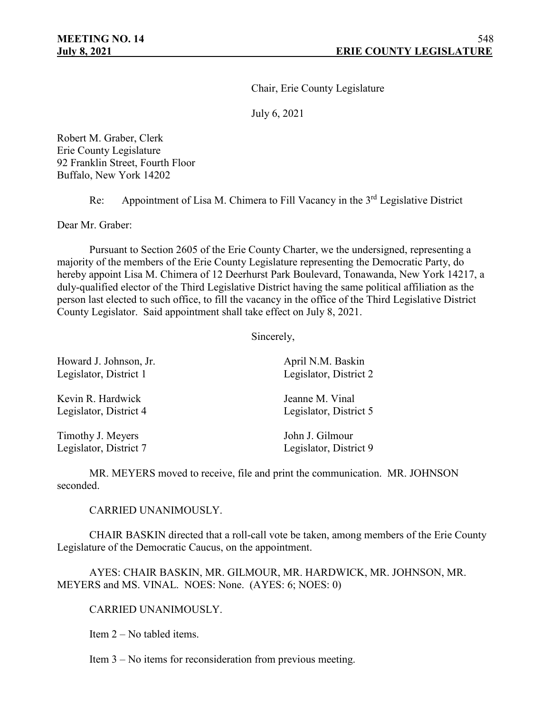Chair, Erie County Legislature

July 6, 2021

Robert M. Graber, Clerk Erie County Legislature 92 Franklin Street, Fourth Floor Buffalo, New York 14202

Re: Appointment of Lisa M. Chimera to Fill Vacancy in the 3<sup>rd</sup> Legislative District

Dear Mr. Graber:

Pursuant to Section 2605 of the Erie County Charter, we the undersigned, representing a majority of the members of the Erie County Legislature representing the Democratic Party, do hereby appoint Lisa M. Chimera of 12 Deerhurst Park Boulevard, Tonawanda, New York 14217, a duly-qualified elector of the Third Legislative District having the same political affiliation as the person last elected to such office, to fill the vacancy in the office of the Third Legislative District County Legislator. Said appointment shall take effect on July 8, 2021.

Sincerely,

| Howard J. Johnson, Jr. | April N.M. Baskin      |
|------------------------|------------------------|
| Legislator, District 1 | Legislator, District 2 |
| Kevin R. Hardwick      | Jeanne M. Vinal        |
| Legislator, District 4 | Legislator, District 5 |
| Timothy J. Meyers      | John J. Gilmour        |
| Legislator, District 7 | Legislator, District 9 |

MR. MEYERS moved to receive, file and print the communication. MR. JOHNSON seconded.

CARRIED UNANIMOUSLY.

CHAIR BASKIN directed that a roll-call vote be taken, among members of the Erie County Legislature of the Democratic Caucus, on the appointment.

AYES: CHAIR BASKIN, MR. GILMOUR, MR. HARDWICK, MR. JOHNSON, MR. MEYERS and MS. VINAL. NOES: None. (AYES: 6; NOES: 0)

CARRIED UNANIMOUSLY.

Item 2 – No tabled items.

Item 3 – No items for reconsideration from previous meeting.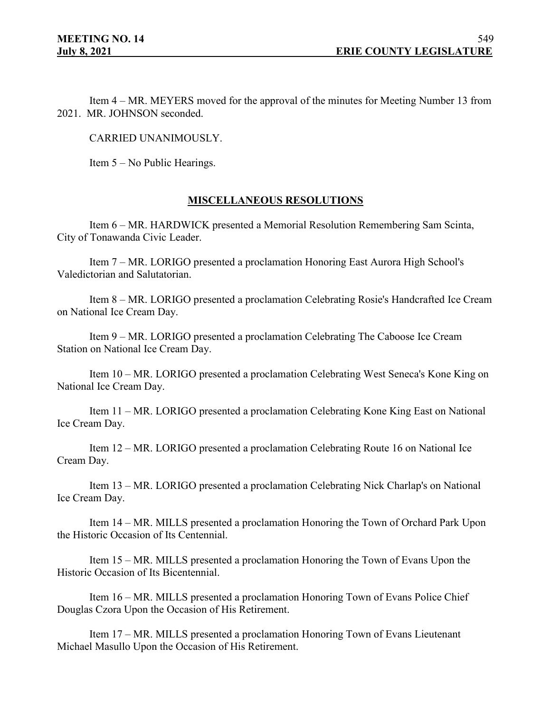Item 4 – MR. MEYERS moved for the approval of the minutes for Meeting Number 13 from 2021. MR. JOHNSON seconded.

CARRIED UNANIMOUSLY.

Item 5 – No Public Hearings.

## **MISCELLANEOUS RESOLUTIONS**

Item 6 – MR. HARDWICK presented a Memorial Resolution Remembering Sam Scinta, City of Tonawanda Civic Leader.

Item 7 – MR. LORIGO presented a proclamation Honoring East Aurora High School's Valedictorian and Salutatorian.

Item 8 – MR. LORIGO presented a proclamation Celebrating Rosie's Handcrafted Ice Cream on National Ice Cream Day.

Item 9 – MR. LORIGO presented a proclamation Celebrating The Caboose Ice Cream Station on National Ice Cream Day.

Item 10 – MR. LORIGO presented a proclamation Celebrating West Seneca's Kone King on National Ice Cream Day.

Item 11 – MR. LORIGO presented a proclamation Celebrating Kone King East on National Ice Cream Day.

Item 12 – MR. LORIGO presented a proclamation Celebrating Route 16 on National Ice Cream Day.

Item 13 – MR. LORIGO presented a proclamation Celebrating Nick Charlap's on National Ice Cream Day.

Item 14 – MR. MILLS presented a proclamation Honoring the Town of Orchard Park Upon the Historic Occasion of Its Centennial.

Item 15 – MR. MILLS presented a proclamation Honoring the Town of Evans Upon the Historic Occasion of Its Bicentennial.

Item 16 – MR. MILLS presented a proclamation Honoring Town of Evans Police Chief Douglas Czora Upon the Occasion of His Retirement.

Item 17 – MR. MILLS presented a proclamation Honoring Town of Evans Lieutenant Michael Masullo Upon the Occasion of His Retirement.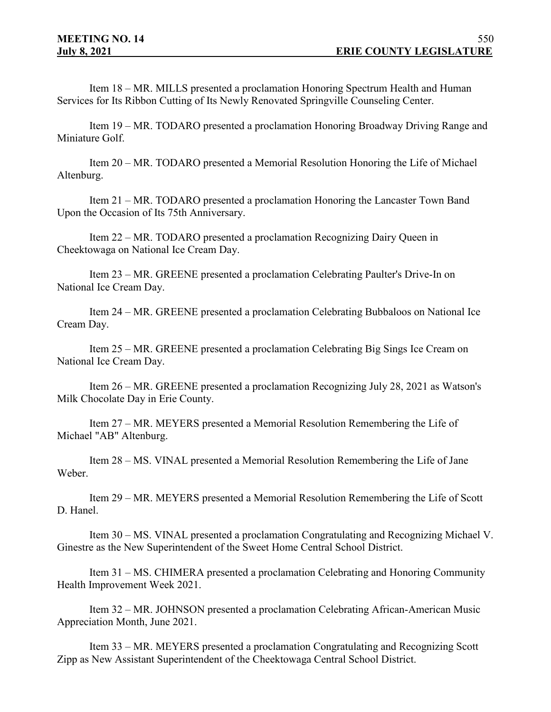Item 18 – MR. MILLS presented a proclamation Honoring Spectrum Health and Human Services for Its Ribbon Cutting of Its Newly Renovated Springville Counseling Center.

Item 19 – MR. TODARO presented a proclamation Honoring Broadway Driving Range and Miniature Golf.

Item 20 – MR. TODARO presented a Memorial Resolution Honoring the Life of Michael Altenburg.

Item 21 – MR. TODARO presented a proclamation Honoring the Lancaster Town Band Upon the Occasion of Its 75th Anniversary.

Item 22 – MR. TODARO presented a proclamation Recognizing Dairy Queen in Cheektowaga on National Ice Cream Day.

Item 23 – MR. GREENE presented a proclamation Celebrating Paulter's Drive-In on National Ice Cream Day.

Item 24 – MR. GREENE presented a proclamation Celebrating Bubbaloos on National Ice Cream Day.

Item 25 – MR. GREENE presented a proclamation Celebrating Big Sings Ice Cream on National Ice Cream Day.

Item 26 – MR. GREENE presented a proclamation Recognizing July 28, 2021 as Watson's Milk Chocolate Day in Erie County.

Item 27 – MR. MEYERS presented a Memorial Resolution Remembering the Life of Michael "AB" Altenburg.

Item 28 – MS. VINAL presented a Memorial Resolution Remembering the Life of Jane Weber.

Item 29 – MR. MEYERS presented a Memorial Resolution Remembering the Life of Scott D. Hanel.

Item 30 – MS. VINAL presented a proclamation Congratulating and Recognizing Michael V. Ginestre as the New Superintendent of the Sweet Home Central School District.

Item 31 – MS. CHIMERA presented a proclamation Celebrating and Honoring Community Health Improvement Week 2021.

Item 32 – MR. JOHNSON presented a proclamation Celebrating African-American Music Appreciation Month, June 2021.

Item 33 – MR. MEYERS presented a proclamation Congratulating and Recognizing Scott Zipp as New Assistant Superintendent of the Cheektowaga Central School District.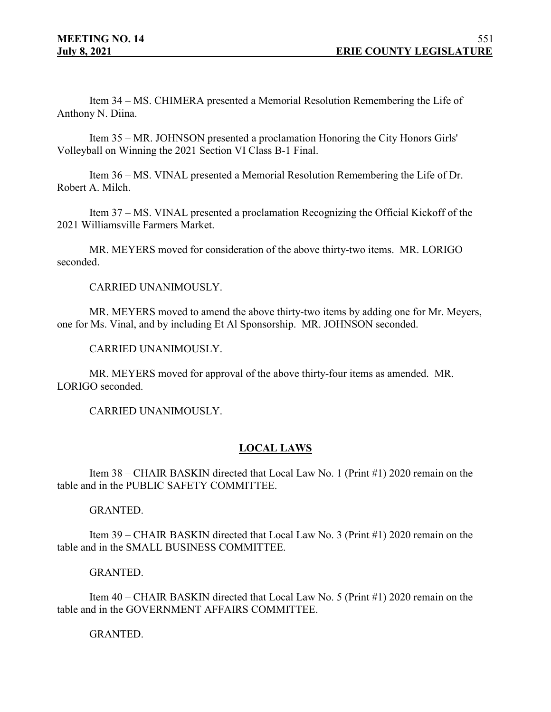Item 34 – MS. CHIMERA presented a Memorial Resolution Remembering the Life of Anthony N. Diina.

Item 35 – MR. JOHNSON presented a proclamation Honoring the City Honors Girls' Volleyball on Winning the 2021 Section VI Class B-1 Final.

Item 36 – MS. VINAL presented a Memorial Resolution Remembering the Life of Dr. Robert A. Milch.

Item 37 – MS. VINAL presented a proclamation Recognizing the Official Kickoff of the 2021 Williamsville Farmers Market.

MR. MEYERS moved for consideration of the above thirty-two items. MR. LORIGO seconded.

CARRIED UNANIMOUSLY.

MR. MEYERS moved to amend the above thirty-two items by adding one for Mr. Meyers, one for Ms. Vinal, and by including Et Al Sponsorship. MR. JOHNSON seconded.

CARRIED UNANIMOUSLY.

MR. MEYERS moved for approval of the above thirty-four items as amended. MR. LORIGO seconded.

CARRIED UNANIMOUSLY.

## **LOCAL LAWS**

Item 38 – CHAIR BASKIN directed that Local Law No. 1 (Print #1) 2020 remain on the table and in the PUBLIC SAFETY COMMITTEE.

GRANTED.

Item 39 – CHAIR BASKIN directed that Local Law No. 3 (Print #1) 2020 remain on the table and in the SMALL BUSINESS COMMITTEE.

GRANTED.

Item 40 – CHAIR BASKIN directed that Local Law No. 5 (Print #1) 2020 remain on the table and in the GOVERNMENT AFFAIRS COMMITTEE.

GRANTED.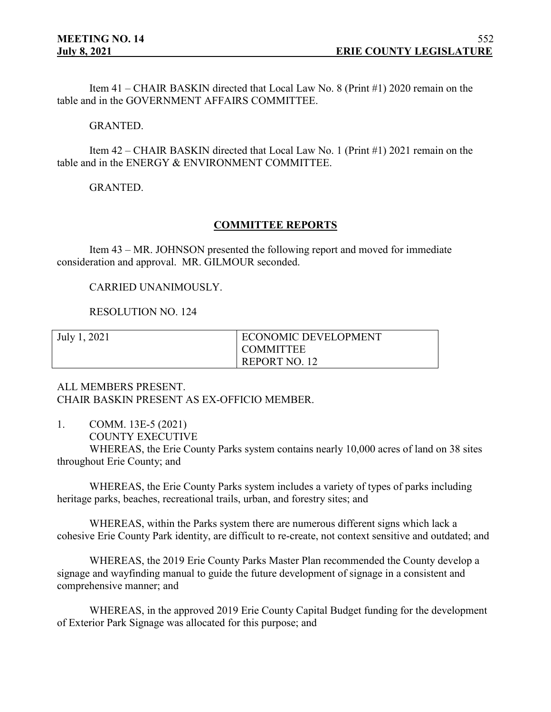Item 41 – CHAIR BASKIN directed that Local Law No. 8 (Print #1) 2020 remain on the table and in the GOVERNMENT AFFAIRS COMMITTEE.

#### GRANTED.

Item 42 – CHAIR BASKIN directed that Local Law No. 1 (Print #1) 2021 remain on the table and in the ENERGY & ENVIRONMENT COMMITTEE.

GRANTED.

#### **COMMITTEE REPORTS**

Item 43 – MR. JOHNSON presented the following report and moved for immediate consideration and approval. MR. GILMOUR seconded.

CARRIED UNANIMOUSLY.

RESOLUTION NO. 124

| July 1, 2021 | ECONOMIC DEVELOPMENT |
|--------------|----------------------|
|              | <b>COMMITTEE</b>     |
|              | REPORT NO. 12        |

ALL MEMBERS PRESENT. CHAIR BASKIN PRESENT AS EX-OFFICIO MEMBER.

- 1. COMM. 13E-5 (2021)
	- COUNTY EXECUTIVE

WHEREAS, the Erie County Parks system contains nearly 10,000 acres of land on 38 sites throughout Erie County; and

WHEREAS, the Erie County Parks system includes a variety of types of parks including heritage parks, beaches, recreational trails, urban, and forestry sites; and

WHEREAS, within the Parks system there are numerous different signs which lack a cohesive Erie County Park identity, are difficult to re-create, not context sensitive and outdated; and

WHEREAS, the 2019 Erie County Parks Master Plan recommended the County develop a signage and wayfinding manual to guide the future development of signage in a consistent and comprehensive manner; and

WHEREAS, in the approved 2019 Erie County Capital Budget funding for the development of Exterior Park Signage was allocated for this purpose; and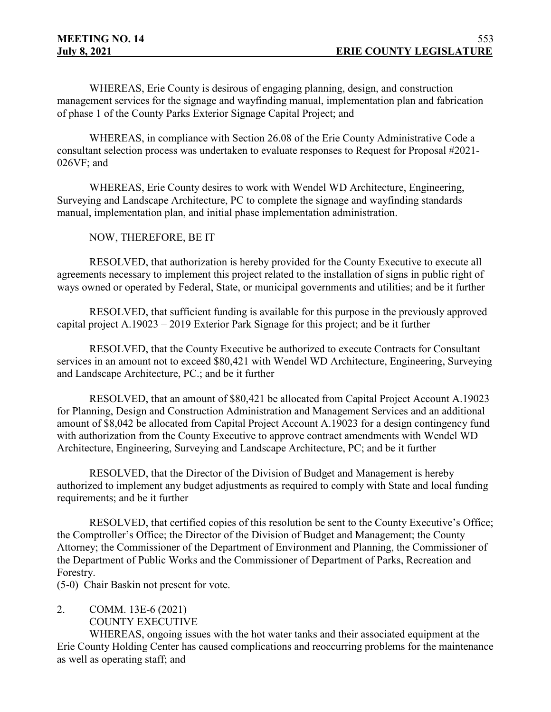WHEREAS, Erie County is desirous of engaging planning, design, and construction management services for the signage and wayfinding manual, implementation plan and fabrication of phase 1 of the County Parks Exterior Signage Capital Project; and

WHEREAS, in compliance with Section 26.08 of the Erie County Administrative Code a consultant selection process was undertaken to evaluate responses to Request for Proposal #2021- 026VF; and

WHEREAS, Erie County desires to work with Wendel WD Architecture, Engineering, Surveying and Landscape Architecture, PC to complete the signage and wayfinding standards manual, implementation plan, and initial phase implementation administration.

## NOW, THEREFORE, BE IT

RESOLVED, that authorization is hereby provided for the County Executive to execute all agreements necessary to implement this project related to the installation of signs in public right of ways owned or operated by Federal, State, or municipal governments and utilities; and be it further

RESOLVED, that sufficient funding is available for this purpose in the previously approved capital project A.19023 – 2019 Exterior Park Signage for this project; and be it further

RESOLVED, that the County Executive be authorized to execute Contracts for Consultant services in an amount not to exceed \$80,421 with Wendel WD Architecture, Engineering, Surveying and Landscape Architecture, PC.; and be it further

RESOLVED, that an amount of \$80,421 be allocated from Capital Project Account A.19023 for Planning, Design and Construction Administration and Management Services and an additional amount of \$8,042 be allocated from Capital Project Account A.19023 for a design contingency fund with authorization from the County Executive to approve contract amendments with Wendel WD Architecture, Engineering, Surveying and Landscape Architecture, PC; and be it further

RESOLVED, that the Director of the Division of Budget and Management is hereby authorized to implement any budget adjustments as required to comply with State and local funding requirements; and be it further

RESOLVED, that certified copies of this resolution be sent to the County Executive's Office; the Comptroller's Office; the Director of the Division of Budget and Management; the County Attorney; the Commissioner of the Department of Environment and Planning, the Commissioner of the Department of Public Works and the Commissioner of Department of Parks, Recreation and Forestry.

(5-0) Chair Baskin not present for vote.

2. COMM. 13E-6 (2021) COUNTY EXECUTIVE

WHEREAS, ongoing issues with the hot water tanks and their associated equipment at the Erie County Holding Center has caused complications and reoccurring problems for the maintenance as well as operating staff; and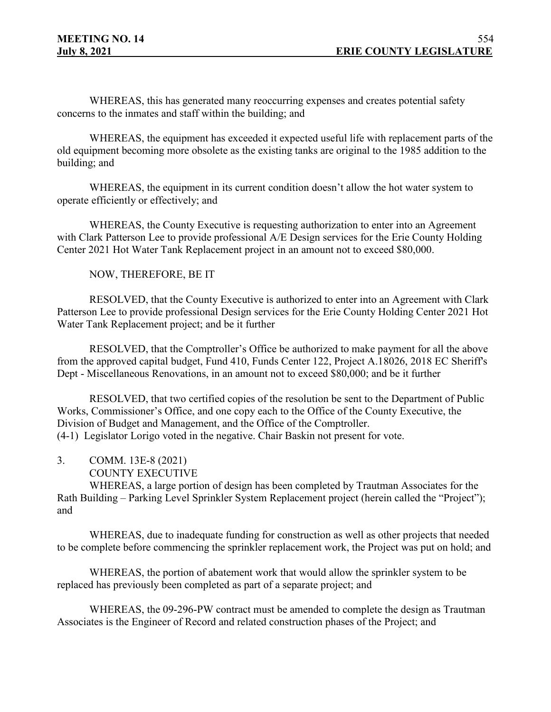WHEREAS, this has generated many reoccurring expenses and creates potential safety concerns to the inmates and staff within the building; and

WHEREAS, the equipment has exceeded it expected useful life with replacement parts of the old equipment becoming more obsolete as the existing tanks are original to the 1985 addition to the building; and

WHEREAS, the equipment in its current condition doesn't allow the hot water system to operate efficiently or effectively; and

WHEREAS, the County Executive is requesting authorization to enter into an Agreement with Clark Patterson Lee to provide professional A/E Design services for the Erie County Holding Center 2021 Hot Water Tank Replacement project in an amount not to exceed \$80,000.

NOW, THEREFORE, BE IT

RESOLVED, that the County Executive is authorized to enter into an Agreement with Clark Patterson Lee to provide professional Design services for the Erie County Holding Center 2021 Hot Water Tank Replacement project; and be it further

RESOLVED, that the Comptroller's Office be authorized to make payment for all the above from the approved capital budget, Fund 410, Funds Center 122, Project A.18026, 2018 EC Sheriff's Dept - Miscellaneous Renovations, in an amount not to exceed \$80,000; and be it further

RESOLVED, that two certified copies of the resolution be sent to the Department of Public Works, Commissioner's Office, and one copy each to the Office of the County Executive, the Division of Budget and Management, and the Office of the Comptroller. (4-1) Legislator Lorigo voted in the negative. Chair Baskin not present for vote.

- 3. COMM. 13E-8 (2021)
	- COUNTY EXECUTIVE

WHEREAS, a large portion of design has been completed by Trautman Associates for the Rath Building – Parking Level Sprinkler System Replacement project (herein called the "Project"); and

WHEREAS, due to inadequate funding for construction as well as other projects that needed to be complete before commencing the sprinkler replacement work, the Project was put on hold; and

WHEREAS, the portion of abatement work that would allow the sprinkler system to be replaced has previously been completed as part of a separate project; and

WHEREAS, the 09-296-PW contract must be amended to complete the design as Trautman Associates is the Engineer of Record and related construction phases of the Project; and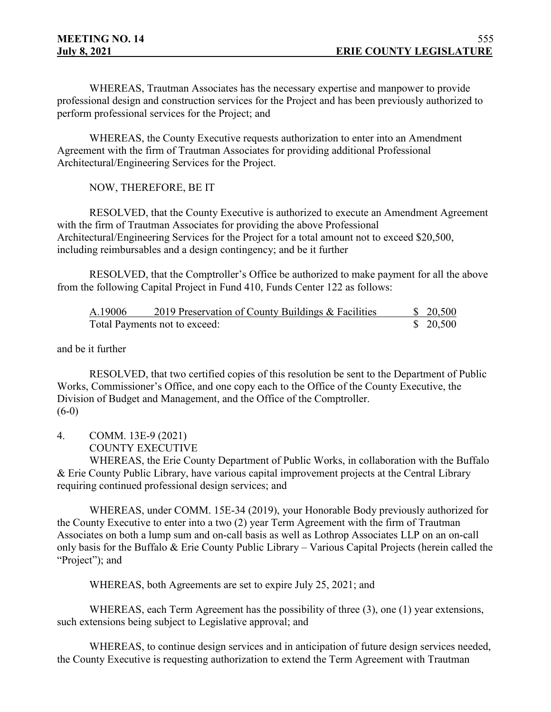WHEREAS, Trautman Associates has the necessary expertise and manpower to provide professional design and construction services for the Project and has been previously authorized to perform professional services for the Project; and

WHEREAS, the County Executive requests authorization to enter into an Amendment Agreement with the firm of Trautman Associates for providing additional Professional Architectural/Engineering Services for the Project.

NOW, THEREFORE, BE IT

RESOLVED, that the County Executive is authorized to execute an Amendment Agreement with the firm of Trautman Associates for providing the above Professional Architectural/Engineering Services for the Project for a total amount not to exceed \$20,500, including reimbursables and a design contingency; and be it further

RESOLVED, that the Comptroller's Office be authorized to make payment for all the above from the following Capital Project in Fund 410, Funds Center 122 as follows:

| A.19006 | 2019 Preservation of County Buildings & Facilities | \$20,500 |
|---------|----------------------------------------------------|----------|
|         | Total Payments not to exceed:                      | \$20,500 |

and be it further

RESOLVED, that two certified copies of this resolution be sent to the Department of Public Works, Commissioner's Office, and one copy each to the Office of the County Executive, the Division of Budget and Management, and the Office of the Comptroller.  $(6-0)$ 

4. COMM. 13E-9 (2021) COUNTY EXECUTIVE

WHEREAS, the Erie County Department of Public Works, in collaboration with the Buffalo & Erie County Public Library, have various capital improvement projects at the Central Library requiring continued professional design services; and

WHEREAS, under COMM. 15E-34 (2019), your Honorable Body previously authorized for the County Executive to enter into a two (2) year Term Agreement with the firm of Trautman Associates on both a lump sum and on-call basis as well as Lothrop Associates LLP on an on-call only basis for the Buffalo & Erie County Public Library – Various Capital Projects (herein called the "Project"; and

WHEREAS, both Agreements are set to expire July 25, 2021; and

WHEREAS, each Term Agreement has the possibility of three (3), one (1) year extensions, such extensions being subject to Legislative approval; and

WHEREAS, to continue design services and in anticipation of future design services needed, the County Executive is requesting authorization to extend the Term Agreement with Trautman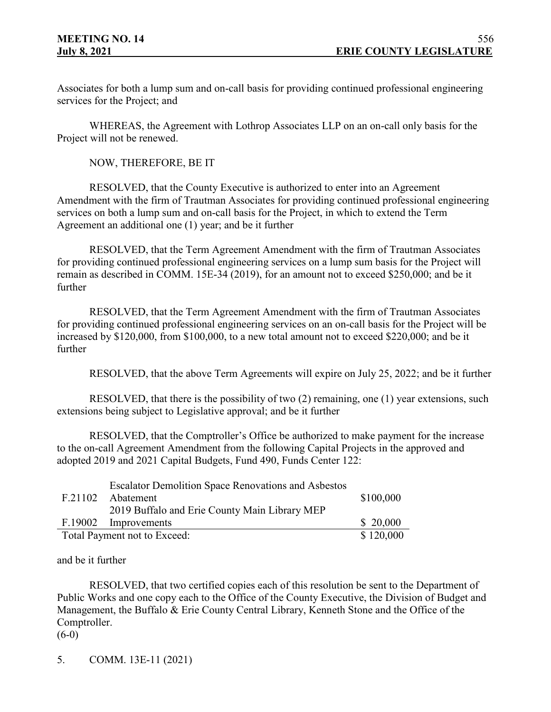Associates for both a lump sum and on-call basis for providing continued professional engineering services for the Project; and

WHEREAS, the Agreement with Lothrop Associates LLP on an on-call only basis for the Project will not be renewed.

NOW, THEREFORE, BE IT

RESOLVED, that the County Executive is authorized to enter into an Agreement Amendment with the firm of Trautman Associates for providing continued professional engineering services on both a lump sum and on-call basis for the Project, in which to extend the Term Agreement an additional one (1) year; and be it further

RESOLVED, that the Term Agreement Amendment with the firm of Trautman Associates for providing continued professional engineering services on a lump sum basis for the Project will remain as described in COMM. 15E-34 (2019), for an amount not to exceed \$250,000; and be it further

RESOLVED, that the Term Agreement Amendment with the firm of Trautman Associates for providing continued professional engineering services on an on-call basis for the Project will be increased by \$120,000, from \$100,000, to a new total amount not to exceed \$220,000; and be it further

RESOLVED, that the above Term Agreements will expire on July 25, 2022; and be it further

RESOLVED, that there is the possibility of two (2) remaining, one (1) year extensions, such extensions being subject to Legislative approval; and be it further

RESOLVED, that the Comptroller's Office be authorized to make payment for the increase to the on-call Agreement Amendment from the following Capital Projects in the approved and adopted 2019 and 2021 Capital Budgets, Fund 490, Funds Center 122:

|         | <b>Escalator Demolition Space Renovations and Asbestos</b> |           |
|---------|------------------------------------------------------------|-----------|
| F.21102 | Abatement                                                  | \$100,000 |
|         | 2019 Buffalo and Erie County Main Library MEP              |           |
| F.19002 | Improvements                                               | \$20,000  |
|         | Total Payment not to Exceed:                               | \$120,000 |

and be it further

RESOLVED, that two certified copies each of this resolution be sent to the Department of Public Works and one copy each to the Office of the County Executive, the Division of Budget and Management, the Buffalo & Erie County Central Library, Kenneth Stone and the Office of the Comptroller.

 $(6-0)$ 

5. COMM. 13E-11 (2021)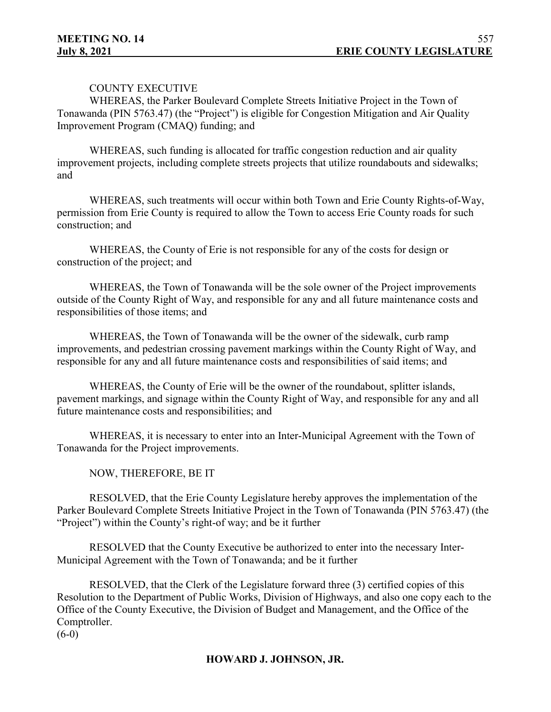## COUNTY EXECUTIVE

WHEREAS, the Parker Boulevard Complete Streets Initiative Project in the Town of Tonawanda (PIN 5763.47) (the "Project") is eligible for Congestion Mitigation and Air Quality Improvement Program (CMAQ) funding; and

WHEREAS, such funding is allocated for traffic congestion reduction and air quality improvement projects, including complete streets projects that utilize roundabouts and sidewalks; and

WHEREAS, such treatments will occur within both Town and Erie County Rights-of-Way, permission from Erie County is required to allow the Town to access Erie County roads for such construction; and

WHEREAS, the County of Erie is not responsible for any of the costs for design or construction of the project; and

WHEREAS, the Town of Tonawanda will be the sole owner of the Project improvements outside of the County Right of Way, and responsible for any and all future maintenance costs and responsibilities of those items; and

WHEREAS, the Town of Tonawanda will be the owner of the sidewalk, curb ramp improvements, and pedestrian crossing pavement markings within the County Right of Way, and responsible for any and all future maintenance costs and responsibilities of said items; and

WHEREAS, the County of Erie will be the owner of the roundabout, splitter islands, pavement markings, and signage within the County Right of Way, and responsible for any and all future maintenance costs and responsibilities; and

WHEREAS, it is necessary to enter into an Inter-Municipal Agreement with the Town of Tonawanda for the Project improvements.

NOW, THEREFORE, BE IT

RESOLVED, that the Erie County Legislature hereby approves the implementation of the Parker Boulevard Complete Streets Initiative Project in the Town of Tonawanda (PIN 5763.47) (the "Project") within the County's right-of way; and be it further

RESOLVED that the County Executive be authorized to enter into the necessary Inter-Municipal Agreement with the Town of Tonawanda; and be it further

RESOLVED, that the Clerk of the Legislature forward three (3) certified copies of this Resolution to the Department of Public Works, Division of Highways, and also one copy each to the Office of the County Executive, the Division of Budget and Management, and the Office of the Comptroller.

 $(6-0)$ 

## **HOWARD J. JOHNSON, JR.**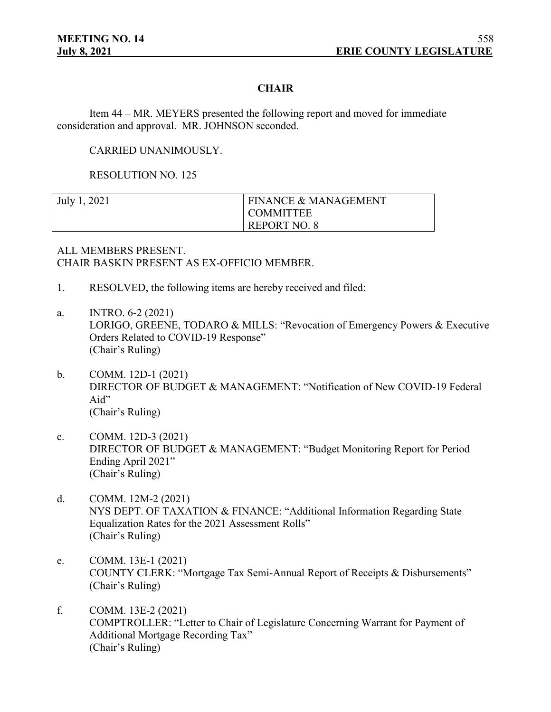## **CHAIR**

Item 44 – MR. MEYERS presented the following report and moved for immediate consideration and approval. MR. JOHNSON seconded.

CARRIED UNANIMOUSLY.

RESOLUTION NO. 125

| July 1, 2021 | <b>FINANCE &amp; MANAGEMENT</b> |
|--------------|---------------------------------|
|              | <b>COMMITTEE</b>                |
|              | REPORT NO. 8                    |

ALL MEMBERS PRESENT. CHAIR BASKIN PRESENT AS EX-OFFICIO MEMBER.

- 1. RESOLVED, the following items are hereby received and filed:
- a. INTRO. 6-2 (2021) LORIGO, GREENE, TODARO & MILLS: "Revocation of Emergency Powers & Executive Orders Related to COVID-19 Response" (Chair's Ruling)
- b. COMM. 12D-1 (2021) DIRECTOR OF BUDGET & MANAGEMENT: "Notification of New COVID-19 Federal Aid" (Chair's Ruling)
- c. COMM. 12D-3 (2021) DIRECTOR OF BUDGET & MANAGEMENT: "Budget Monitoring Report for Period Ending April 2021" (Chair's Ruling)
- d. COMM. 12M-2 (2021) NYS DEPT. OF TAXATION & FINANCE: "Additional Information Regarding State Equalization Rates for the 2021 Assessment Rolls" (Chair's Ruling)
- e. COMM. 13E-1 (2021) COUNTY CLERK: "Mortgage Tax Semi-Annual Report of Receipts & Disbursements" (Chair's Ruling)
- f. COMM. 13E-2 (2021) COMPTROLLER: "Letter to Chair of Legislature Concerning Warrant for Payment of Additional Mortgage Recording Tax" (Chair's Ruling)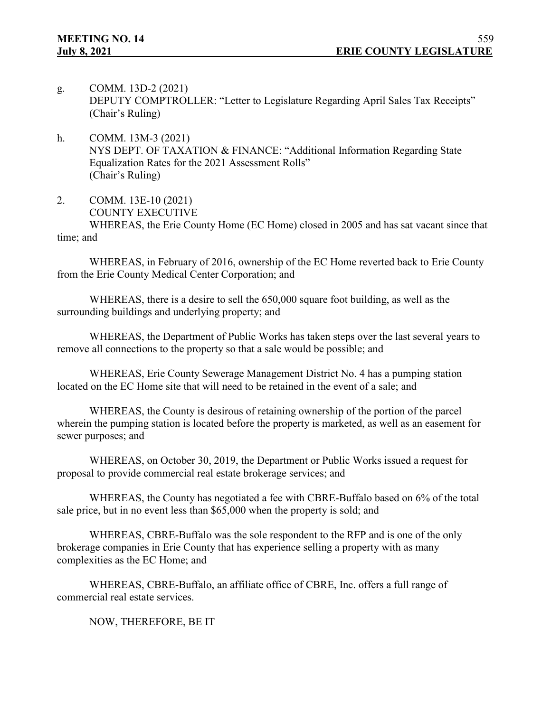- g. COMM. 13D-2 (2021) DEPUTY COMPTROLLER: "Letter to Legislature Regarding April Sales Tax Receipts" (Chair's Ruling)
- h. COMM. 13M-3 (2021) NYS DEPT. OF TAXATION & FINANCE: "Additional Information Regarding State Equalization Rates for the 2021 Assessment Rolls" (Chair's Ruling)
- 2. COMM. 13E-10 (2021) COUNTY EXECUTIVE WHEREAS, the Erie County Home (EC Home) closed in 2005 and has sat vacant since that time; and

WHEREAS, in February of 2016, ownership of the EC Home reverted back to Erie County from the Erie County Medical Center Corporation; and

WHEREAS, there is a desire to sell the 650,000 square foot building, as well as the surrounding buildings and underlying property; and

WHEREAS, the Department of Public Works has taken steps over the last several years to remove all connections to the property so that a sale would be possible; and

WHEREAS, Erie County Sewerage Management District No. 4 has a pumping station located on the EC Home site that will need to be retained in the event of a sale; and

WHEREAS, the County is desirous of retaining ownership of the portion of the parcel wherein the pumping station is located before the property is marketed, as well as an easement for sewer purposes; and

WHEREAS, on October 30, 2019, the Department or Public Works issued a request for proposal to provide commercial real estate brokerage services; and

WHEREAS, the County has negotiated a fee with CBRE-Buffalo based on 6% of the total sale price, but in no event less than \$65,000 when the property is sold; and

WHEREAS, CBRE-Buffalo was the sole respondent to the RFP and is one of the only brokerage companies in Erie County that has experience selling a property with as many complexities as the EC Home; and

WHEREAS, CBRE-Buffalo, an affiliate office of CBRE, Inc. offers a full range of commercial real estate services.

NOW, THEREFORE, BE IT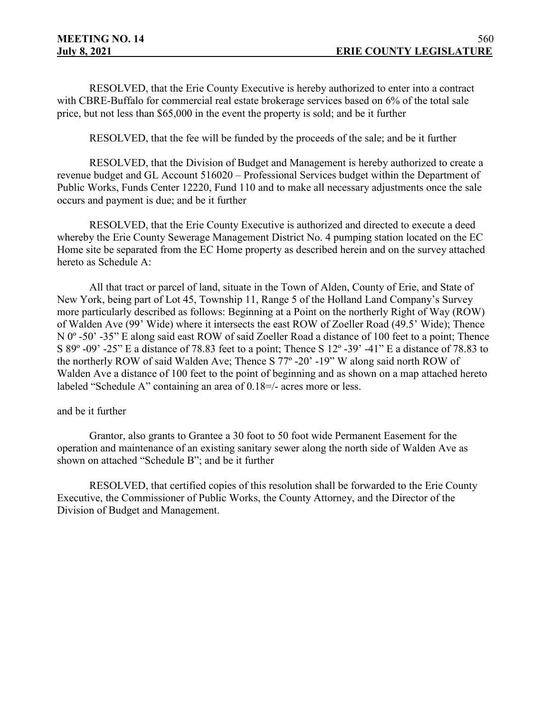RESOLVED, that the Erie County Executive is hereby authorized to enter into a contract with CBRE-Buffalo for commercial real estate brokerage services based on 6% of the total sale price, but not less than \$65,000 in the event the property is sold; and be it further

RESOLVED, that the fee will be funded by the proceeds of the sale; and be it further

RESOLVED, that the Division of Budget and Management is hereby authorized to create a revenue budget and GL Account 516020 – Professional Services budget within the Department of Public Works, Funds Center 12220, Fund 110 and to make all necessary adjustments once the sale occurs and payment is due; and be it further

RESOLVED, that the Erie County Executive is authorized and directed to execute a deed whereby the Erie County Sewerage Management District No. 4 pumping station located on the EC Home site be separated from the EC Home property as described herein and on the survey attached hereto as Schedule A:

All that tract or parcel of land, situate in the Town of Alden, County of Erie, and State of New York, being part of Lot 45, Township 11, Range 5 of the Holland Land Company's Survey more particularly described as follows: Beginning at a Point on the northerly Right of Way (ROW) of Walden Ave (99' Wide) where it intersects the east ROW of Zoeller Road (49.5' Wide); Thence N 0<sup>o</sup> -50' -35" E along said east ROW of said Zoeller Road a distance of 100 feet to a point; Thence S 89º -09' -25" E a distance of 78.83 feet to a point; Thence S 12º -39' -41" E a distance of 78.83 to the northerly ROW of said Walden Ave; Thence S 77º -20' -19" W along said north ROW of Walden Ave a distance of 100 feet to the point of beginning and as shown on a map attached hereto labeled "Schedule A" containing an area of 0.18=/- acres more or less.

#### and be it further

Grantor, also grants to Grantee a 30 foot to 50 foot wide Permanent Easement for the operation and maintenance of an existing sanitary sewer along the north side of Walden Ave as shown on attached "Schedule B"; and be it further

RESOLVED, that certified copies of this resolution shall be forwarded to the Erie County Executive, the Commissioner of Public Works, the County Attorney, and the Director of the Division of Budget and Management.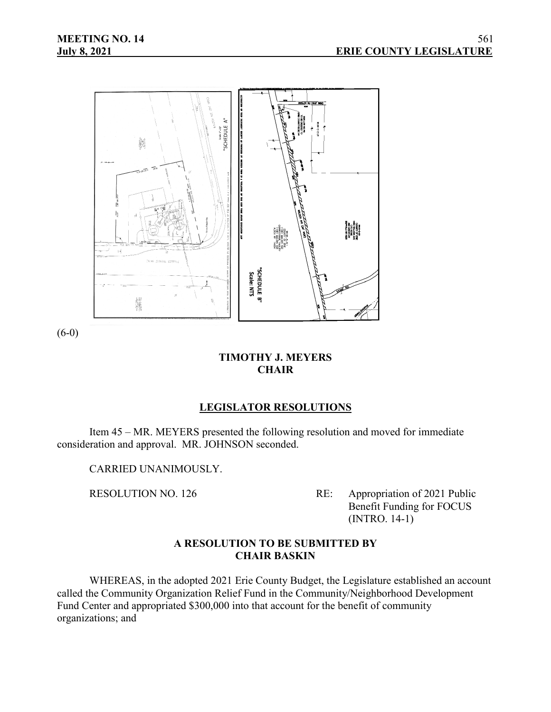

(6-0)

# **TIMOTHY J. MEYERS CHAIR**

# **LEGISLATOR RESOLUTIONS**

Item 45 – MR. MEYERS presented the following resolution and moved for immediate consideration and approval. MR. JOHNSON seconded.

CARRIED UNANIMOUSLY.

RESOLUTION NO. 126 RE: Appropriation of 2021 Public Benefit Funding for FOCUS (INTRO. 14-1)

# **A RESOLUTION TO BE SUBMITTED BY CHAIR BASKIN**

WHEREAS, in the adopted 2021 Erie County Budget, the Legislature established an account called the Community Organization Relief Fund in the Community/Neighborhood Development Fund Center and appropriated \$300,000 into that account for the benefit of community organizations; and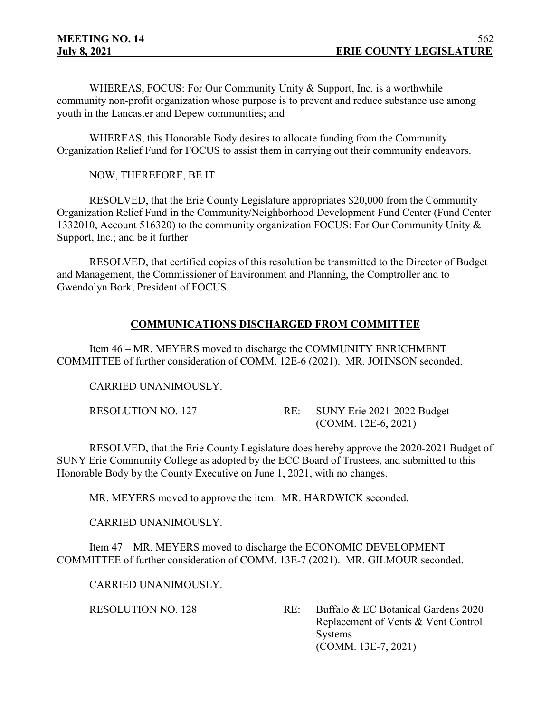WHEREAS, FOCUS: For Our Community Unity & Support, Inc. is a worthwhile community non-profit organization whose purpose is to prevent and reduce substance use among youth in the Lancaster and Depew communities; and

WHEREAS, this Honorable Body desires to allocate funding from the Community Organization Relief Fund for FOCUS to assist them in carrying out their community endeavors.

NOW, THEREFORE, BE IT

RESOLVED, that the Erie County Legislature appropriates \$20,000 from the Community Organization Relief Fund in the Community/Neighborhood Development Fund Center (Fund Center 1332010, Account 516320) to the community organization FOCUS: For Our Community Unity & Support, Inc.; and be it further

RESOLVED, that certified copies of this resolution be transmitted to the Director of Budget and Management, the Commissioner of Environment and Planning, the Comptroller and to Gwendolyn Bork, President of FOCUS.

# **COMMUNICATIONS DISCHARGED FROM COMMITTEE**

Item 46 – MR. MEYERS moved to discharge the COMMUNITY ENRICHMENT COMMITTEE of further consideration of COMM. 12E-6 (2021). MR. JOHNSON seconded.

CARRIED UNANIMOUSLY.

| RESOLUTION NO. 127 | RE: SUNY Erie 2021-2022 Budget |
|--------------------|--------------------------------|
|                    | $(COMM. 12E-6, 2021)$          |

RESOLVED, that the Erie County Legislature does hereby approve the 2020-2021 Budget of SUNY Erie Community College as adopted by the ECC Board of Trustees, and submitted to this Honorable Body by the County Executive on June 1, 2021, with no changes.

MR. MEYERS moved to approve the item. MR. HARDWICK seconded.

CARRIED UNANIMOUSLY.

Item 47 – MR. MEYERS moved to discharge the ECONOMIC DEVELOPMENT COMMITTEE of further consideration of COMM. 13E-7 (2021). MR. GILMOUR seconded.

CARRIED UNANIMOUSLY.

RESOLUTION NO. 128 RE: Buffalo & EC Botanical Gardens 2020 Replacement of Vents & Vent Control **Systems** (COMM. 13E-7, 2021)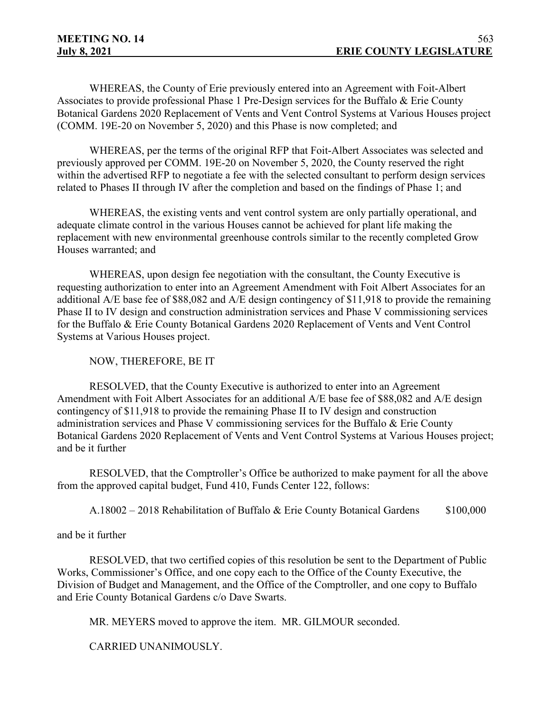WHEREAS, the County of Erie previously entered into an Agreement with Foit-Albert Associates to provide professional Phase 1 Pre-Design services for the Buffalo & Erie County Botanical Gardens 2020 Replacement of Vents and Vent Control Systems at Various Houses project (COMM. 19E-20 on November 5, 2020) and this Phase is now completed; and

WHEREAS, per the terms of the original RFP that Foit-Albert Associates was selected and previously approved per COMM. 19E-20 on November 5, 2020, the County reserved the right within the advertised RFP to negotiate a fee with the selected consultant to perform design services related to Phases II through IV after the completion and based on the findings of Phase 1; and

WHEREAS, the existing vents and vent control system are only partially operational, and adequate climate control in the various Houses cannot be achieved for plant life making the replacement with new environmental greenhouse controls similar to the recently completed Grow Houses warranted; and

WHEREAS, upon design fee negotiation with the consultant, the County Executive is requesting authorization to enter into an Agreement Amendment with Foit Albert Associates for an additional A/E base fee of \$88,082 and A/E design contingency of \$11,918 to provide the remaining Phase II to IV design and construction administration services and Phase V commissioning services for the Buffalo & Erie County Botanical Gardens 2020 Replacement of Vents and Vent Control Systems at Various Houses project.

NOW, THEREFORE, BE IT

RESOLVED, that the County Executive is authorized to enter into an Agreement Amendment with Foit Albert Associates for an additional A/E base fee of \$88,082 and A/E design contingency of \$11,918 to provide the remaining Phase II to IV design and construction administration services and Phase V commissioning services for the Buffalo & Erie County Botanical Gardens 2020 Replacement of Vents and Vent Control Systems at Various Houses project; and be it further

RESOLVED, that the Comptroller's Office be authorized to make payment for all the above from the approved capital budget, Fund 410, Funds Center 122, follows:

A.18002 – 2018 Rehabilitation of Buffalo & Erie County Botanical Gardens \$100,000

## and be it further

RESOLVED, that two certified copies of this resolution be sent to the Department of Public Works, Commissioner's Office, and one copy each to the Office of the County Executive, the Division of Budget and Management, and the Office of the Comptroller, and one copy to Buffalo and Erie County Botanical Gardens c/o Dave Swarts.

MR. MEYERS moved to approve the item. MR. GILMOUR seconded.

CARRIED UNANIMOUSLY.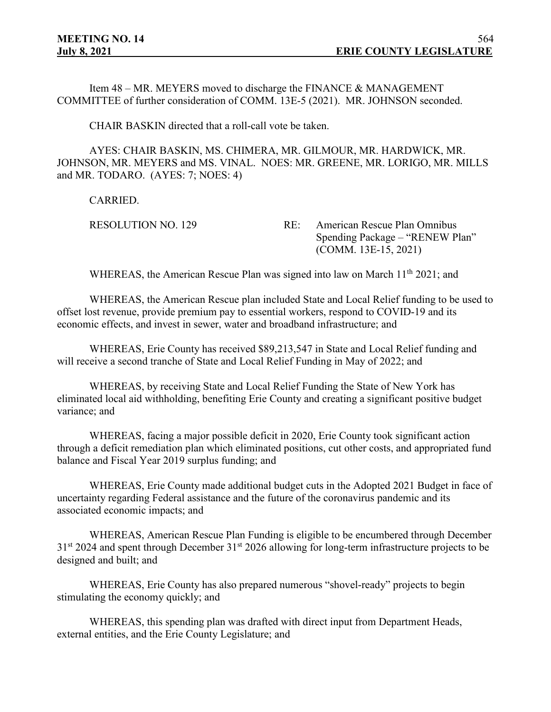Item 48 – MR. MEYERS moved to discharge the FINANCE & MANAGEMENT COMMITTEE of further consideration of COMM. 13E-5 (2021). MR. JOHNSON seconded.

CHAIR BASKIN directed that a roll-call vote be taken.

AYES: CHAIR BASKIN, MS. CHIMERA, MR. GILMOUR, MR. HARDWICK, MR. JOHNSON, MR. MEYERS and MS. VINAL. NOES: MR. GREENE, MR. LORIGO, MR. MILLS and MR. TODARO. (AYES: 7; NOES: 4)

CARRIED.

RESOLUTION NO. 129 RE: American Rescue Plan Omnibus Spending Package – "RENEW Plan" (COMM. 13E-15, 2021)

WHEREAS, the American Rescue Plan was signed into law on March 11<sup>th</sup> 2021; and

WHEREAS, the American Rescue plan included State and Local Relief funding to be used to offset lost revenue, provide premium pay to essential workers, respond to COVID-19 and its economic effects, and invest in sewer, water and broadband infrastructure; and

WHEREAS, Erie County has received \$89,213,547 in State and Local Relief funding and will receive a second tranche of State and Local Relief Funding in May of 2022; and

WHEREAS, by receiving State and Local Relief Funding the State of New York has eliminated local aid withholding, benefiting Erie County and creating a significant positive budget variance; and

WHEREAS, facing a major possible deficit in 2020, Erie County took significant action through a deficit remediation plan which eliminated positions, cut other costs, and appropriated fund balance and Fiscal Year 2019 surplus funding; and

WHEREAS, Erie County made additional budget cuts in the Adopted 2021 Budget in face of uncertainty regarding Federal assistance and the future of the coronavirus pandemic and its associated economic impacts; and

WHEREAS, American Rescue Plan Funding is eligible to be encumbered through December  $31<sup>st</sup>$  2024 and spent through December  $31<sup>st</sup>$  2026 allowing for long-term infrastructure projects to be designed and built; and

WHEREAS, Erie County has also prepared numerous "shovel-ready" projects to begin stimulating the economy quickly; and

WHEREAS, this spending plan was drafted with direct input from Department Heads, external entities, and the Erie County Legislature; and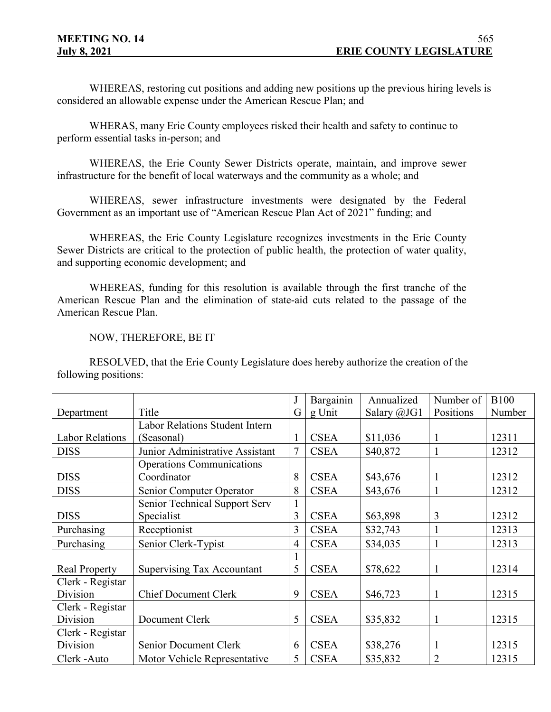WHEREAS, restoring cut positions and adding new positions up the previous hiring levels is considered an allowable expense under the American Rescue Plan; and

WHERAS, many Erie County employees risked their health and safety to continue to perform essential tasks in-person; and

WHEREAS, the Erie County Sewer Districts operate, maintain, and improve sewer infrastructure for the benefit of local waterways and the community as a whole; and

WHEREAS, sewer infrastructure investments were designated by the Federal Government as an important use of "American Rescue Plan Act of 2021" funding; and

WHEREAS, the Erie County Legislature recognizes investments in the Erie County Sewer Districts are critical to the protection of public health, the protection of water quality, and supporting economic development; and

WHEREAS, funding for this resolution is available through the first tranche of the American Rescue Plan and the elimination of state-aid cuts related to the passage of the American Rescue Plan.

#### NOW, THEREFORE, BE IT

RESOLVED, that the Erie County Legislature does hereby authorize the creation of the following positions:

|                        |                                  | J              | Bargainin   | Annualized  | Number of      | <b>B100</b> |
|------------------------|----------------------------------|----------------|-------------|-------------|----------------|-------------|
| Department             | Title                            | G              | g Unit      | Salary @JG1 | Positions      | Number      |
|                        | Labor Relations Student Intern   |                |             |             |                |             |
| <b>Labor Relations</b> | (Seasonal)                       |                | <b>CSEA</b> | \$11,036    |                | 12311       |
| <b>DISS</b>            | Junior Administrative Assistant  | 7              | <b>CSEA</b> | \$40,872    |                | 12312       |
|                        | <b>Operations Communications</b> |                |             |             |                |             |
| <b>DISS</b>            | Coordinator                      | 8              | <b>CSEA</b> | \$43,676    |                | 12312       |
| <b>DISS</b>            | Senior Computer Operator         | 8              | <b>CSEA</b> | \$43,676    | 1              | 12312       |
|                        | Senior Technical Support Serv    |                |             |             |                |             |
| <b>DISS</b>            | Specialist                       | 3              | <b>CSEA</b> | \$63,898    | 3              | 12312       |
| Purchasing             | Receptionist                     | 3              | <b>CSEA</b> | \$32,743    |                | 12313       |
| Purchasing             | Senior Clerk-Typist              | $\overline{4}$ | <b>CSEA</b> | \$34,035    | 1              | 12313       |
|                        |                                  |                |             |             |                |             |
| <b>Real Property</b>   | Supervising Tax Accountant       | 5              | <b>CSEA</b> | \$78,622    | 1              | 12314       |
| Clerk - Registar       |                                  |                |             |             |                |             |
| Division               | <b>Chief Document Clerk</b>      | 9              | <b>CSEA</b> | \$46,723    | 1              | 12315       |
| Clerk - Registar       |                                  |                |             |             |                |             |
| Division               | Document Clerk                   | 5              | <b>CSEA</b> | \$35,832    | 1              | 12315       |
| Clerk - Registar       |                                  |                |             |             |                |             |
| Division               | <b>Senior Document Clerk</b>     | 6              | <b>CSEA</b> | \$38,276    |                | 12315       |
| Clerk - Auto           | Motor Vehicle Representative     | 5              | <b>CSEA</b> | \$35,832    | $\overline{2}$ | 12315       |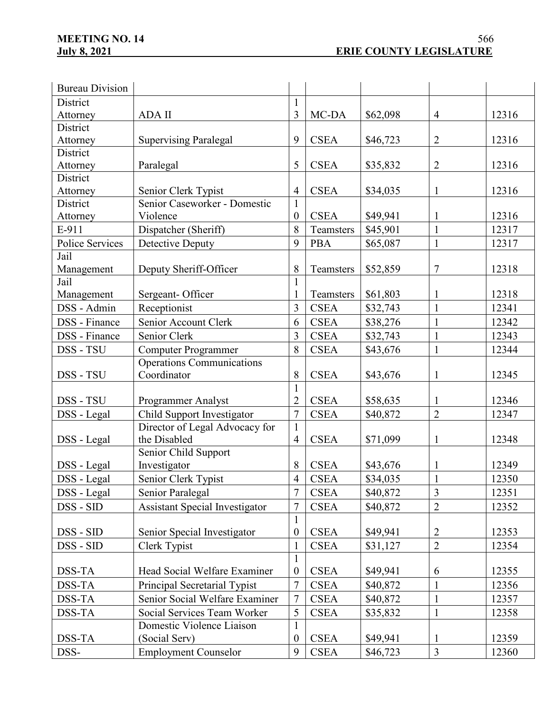| <b>Bureau Division</b>    |                                                |                                |                       |          |                |       |
|---------------------------|------------------------------------------------|--------------------------------|-----------------------|----------|----------------|-------|
| District                  |                                                |                                |                       |          |                |       |
| Attorney                  | <b>ADA II</b>                                  | 3                              | MC-DA                 | \$62,098 | $\overline{4}$ | 12316 |
| District                  |                                                |                                |                       |          |                |       |
| Attorney                  | <b>Supervising Paralegal</b>                   | 9                              | <b>CSEA</b>           | \$46,723 | $\overline{2}$ | 12316 |
| District                  |                                                |                                |                       |          |                |       |
| Attorney                  | Paralegal                                      | 5                              | <b>CSEA</b>           | \$35,832 | $\overline{2}$ | 12316 |
| District                  |                                                |                                |                       |          |                |       |
| Attorney                  | Senior Clerk Typist                            | $\overline{4}$                 | <b>CSEA</b>           | \$34,035 | $\mathbf{1}$   | 12316 |
| District                  | Senior Caseworker - Domestic                   | $\mathbf{1}$                   |                       |          |                |       |
| Attorney                  | Violence                                       | $\mathbf{0}$                   | <b>CSEA</b>           | \$49,941 | 1              | 12316 |
| E-911                     | Dispatcher (Sheriff)                           | 8                              | Teamsters             | \$45,901 | $\mathbf{1}$   | 12317 |
| Police Services           | Detective Deputy                               | 9                              | <b>PBA</b>            | \$65,087 | $\mathbf{1}$   | 12317 |
| Jail                      |                                                |                                |                       |          |                |       |
| Management<br>Jail        | Deputy Sheriff-Officer                         | 8                              | Teamsters             | \$52,859 | $\tau$         | 12318 |
|                           | Sergeant-Officer                               | 1<br>1                         | Teamsters             | \$61,803 | 1              | 12318 |
| Management<br>DSS - Admin | Receptionist                                   | $\overline{3}$                 | <b>CSEA</b>           | \$32,743 | $\mathbf{1}$   | 12341 |
|                           |                                                |                                |                       |          |                |       |
| <b>DSS</b> - Finance      | Senior Account Clerk                           | 6                              | <b>CSEA</b>           | \$38,276 | $\mathbf{1}$   | 12342 |
| DSS - Finance             | Senior Clerk                                   | 3                              | <b>CSEA</b>           | \$32,743 | $\mathbf{1}$   | 12343 |
| DSS - TSU                 | <b>Computer Programmer</b>                     | 8                              | $\operatorname{CSEA}$ | \$43,676 | $\mathbf{1}$   | 12344 |
|                           | <b>Operations Communications</b>               |                                |                       |          |                |       |
| DSS - TSU                 | Coordinator                                    | 8                              | <b>CSEA</b>           | \$43,676 | $\mathbf{1}$   | 12345 |
| DSS - TSU                 | <b>Programmer Analyst</b>                      | $\mathbf{1}$<br>$\overline{2}$ | <b>CSEA</b>           | \$58,635 | 1              | 12346 |
|                           |                                                | $\overline{7}$                 |                       |          |                |       |
| DSS - Legal               | Child Support Investigator                     | $\mathbf{1}$                   | <b>CSEA</b>           | \$40,872 | $\overline{2}$ | 12347 |
| DSS - Legal               | Director of Legal Advocacy for<br>the Disabled | $\overline{4}$                 | <b>CSEA</b>           | \$71,099 | $\mathbf{1}$   | 12348 |
|                           | Senior Child Support                           |                                |                       |          |                |       |
| DSS - Legal               | Investigator                                   | 8                              | <b>CSEA</b>           | \$43,676 | 1              | 12349 |
| DSS - Legal               | Senior Clerk Typist                            | $\overline{4}$                 | <b>CSEA</b>           | \$34,035 | $\mathbf{1}$   | 12350 |
| DSS - Legal               | Senior Paralegal                               | 7                              | <b>CSEA</b>           | \$40,872 | 3              | 12351 |
| DSS - SID                 | <b>Assistant Special Investigator</b>          | 7                              | <b>CSEA</b>           | \$40,872 | $\overline{2}$ | 12352 |
|                           |                                                | $\mathbf{1}$                   |                       |          |                |       |
| DSS - SID                 | Senior Special Investigator                    | $\boldsymbol{0}$               | <b>CSEA</b>           | \$49,941 | $\overline{2}$ | 12353 |
| DSS - SID                 | Clerk Typist                                   | 1                              | <b>CSEA</b>           | \$31,127 | $\overline{2}$ | 12354 |
|                           |                                                | $\mathbf{1}$                   |                       |          |                |       |
| DSS-TA                    | Head Social Welfare Examiner                   | $\boldsymbol{0}$               | <b>CSEA</b>           | \$49,941 | 6              | 12355 |
| DSS-TA                    | Principal Secretarial Typist                   | 7                              | <b>CSEA</b>           | \$40,872 | $\mathbf{1}$   | 12356 |
| DSS-TA                    | Senior Social Welfare Examiner                 | $\overline{7}$                 | <b>CSEA</b>           | \$40,872 | $\mathbf{1}$   | 12357 |
| DSS-TA                    | Social Services Team Worker                    | 5                              | <b>CSEA</b>           | \$35,832 | $\mathbf{1}$   | 12358 |
|                           | Domestic Violence Liaison                      | 1                              |                       |          |                |       |
| DSS-TA                    | (Social Serv)                                  | $\boldsymbol{0}$               | <b>CSEA</b>           | \$49,941 | 1              | 12359 |
| DSS-                      | <b>Employment Counselor</b>                    | 9                              | <b>CSEA</b>           | \$46,723 | $\mathfrak{Z}$ | 12360 |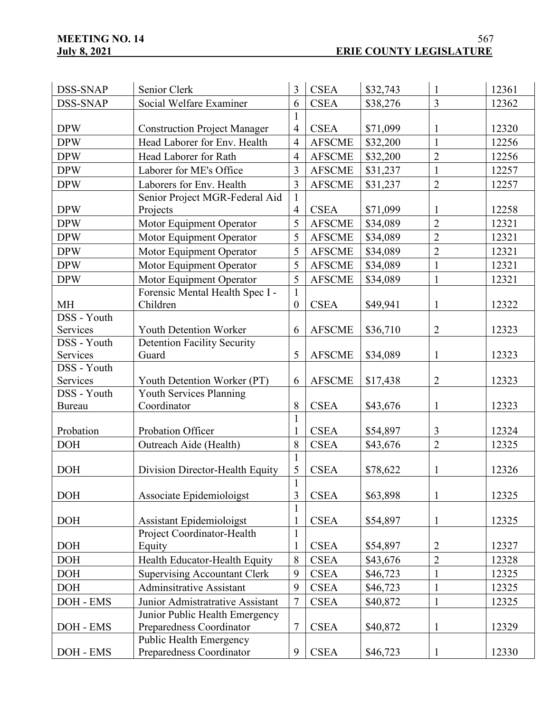| DSS-SNAP      | Senior Clerk                        |                              | <b>CSEA</b>           | \$32,743 | $\mathbf{1}$   | 12361 |
|---------------|-------------------------------------|------------------------------|-----------------------|----------|----------------|-------|
| DSS-SNAP      | Social Welfare Examiner             | 6                            | <b>CSEA</b>           | \$38,276 | $\overline{3}$ | 12362 |
|               |                                     | $\mathbf{1}$                 |                       |          |                |       |
| <b>DPW</b>    | <b>Construction Project Manager</b> |                              | <b>CSEA</b>           | \$71,099 | 1              | 12320 |
| <b>DPW</b>    | Head Laborer for Env. Health        | $\overline{4}$               | <b>AFSCME</b>         | \$32,200 | $\mathbf{1}$   | 12256 |
| <b>DPW</b>    | Head Laborer for Rath               | $\overline{4}$               | <b>AFSCME</b>         | \$32,200 | $\overline{2}$ | 12256 |
| <b>DPW</b>    | Laborer for ME's Office             | $\overline{3}$               | <b>AFSCME</b>         | \$31,237 | $\mathbf{1}$   | 12257 |
| <b>DPW</b>    | Laborers for Env. Health            | $\overline{3}$               | <b>AFSCME</b>         | \$31,237 | $\overline{2}$ | 12257 |
|               | Senior Project MGR-Federal Aid      | $\mathbf{1}$                 |                       |          |                |       |
| <b>DPW</b>    | Projects                            | $\overline{4}$               | <b>CSEA</b>           | \$71,099 | 1              | 12258 |
| <b>DPW</b>    | Motor Equipment Operator            | 5                            | <b>AFSCME</b>         | \$34,089 | $\overline{2}$ | 12321 |
| <b>DPW</b>    | Motor Equipment Operator            | 5                            | <b>AFSCME</b>         | \$34,089 | $\overline{2}$ | 12321 |
| <b>DPW</b>    | Motor Equipment Operator            | 5                            | <b>AFSCME</b>         | \$34,089 | $\overline{2}$ | 12321 |
| <b>DPW</b>    | Motor Equipment Operator            | 5                            | <b>AFSCME</b>         | \$34,089 | $\mathbf{1}$   | 12321 |
| <b>DPW</b>    | Motor Equipment Operator            | 5                            | <b>AFSCME</b>         | \$34,089 | $\mathbf{1}$   | 12321 |
|               | Forensic Mental Health Spec I -     | $\mathbf{1}$                 |                       |          |                |       |
| <b>MH</b>     | Children                            | $\boldsymbol{0}$             | <b>CSEA</b>           | \$49,941 | $\mathbf{1}$   | 12322 |
| DSS - Youth   |                                     |                              |                       |          |                |       |
| Services      | Youth Detention Worker              | 6                            | <b>AFSCME</b>         | \$36,710 | $\overline{2}$ | 12323 |
| DSS - Youth   | <b>Detention Facility Security</b>  |                              |                       |          |                |       |
| Services      | Guard                               | 5                            | <b>AFSCME</b>         | \$34,089 | $\mathbf{1}$   | 12323 |
| DSS - Youth   |                                     |                              |                       |          |                |       |
| Services      | Youth Detention Worker (PT)         | 6                            | <b>AFSCME</b>         | \$17,438 | $\overline{2}$ | 12323 |
| DSS - Youth   | Youth Services Planning             |                              |                       |          |                |       |
| <b>Bureau</b> | Coordinator                         | 8<br>$\mathbf{1}$            | <b>CSEA</b>           | \$43,676 | $\mathbf{1}$   | 12323 |
| Probation     | Probation Officer                   |                              | <b>CSEA</b>           | \$54,897 | 3              | 12324 |
| <b>DOH</b>    | Outreach Aide (Health)              | 8                            | <b>CSEA</b>           | \$43,676 | $\overline{2}$ | 12325 |
|               |                                     | $\mathbf{1}$                 |                       |          |                |       |
| <b>DOH</b>    | Division Director-Health Equity     | 5                            | <b>CSEA</b>           | \$78,622 | $\mathbf{1}$   | 12326 |
|               |                                     | $\mathbf{1}$<br>$\mathbf{r}$ |                       |          |                |       |
| <b>DOH</b>    | Associate Epidemioloigst            | 3                            | <b>CSEA</b>           | \$63,898 | $\mathbf{1}$   | 12325 |
|               |                                     |                              |                       |          |                |       |
| <b>DOH</b>    | Assistant Epidemioloigst            |                              | <b>CSEA</b>           | \$54,897 | $\mathbf{1}$   | 12325 |
|               | Project Coordinator-Health          | $\mathbf{1}$                 |                       |          |                |       |
| <b>DOH</b>    | Equity                              | 1                            | <b>CSEA</b>           | \$54,897 | 2              | 12327 |
| <b>DOH</b>    | Health Educator-Health Equity       | 8                            | <b>CSEA</b>           | \$43,676 | $\overline{2}$ | 12328 |
| <b>DOH</b>    | <b>Supervising Accountant Clerk</b> | 9                            | <b>CSEA</b>           | \$46,723 | $\mathbf{1}$   | 12325 |
| <b>DOH</b>    | <b>Adminsitrative Assistant</b>     | 9                            | <b>CSEA</b>           | \$46,723 | $\mathbf{1}$   | 12325 |
| DOH - EMS     | Junior Admistratrative Assistant    | $\tau$                       | <b>CSEA</b>           | \$40,872 | $\mathbf{1}$   | 12325 |
|               | Junior Public Health Emergency      |                              |                       |          |                |       |
| DOH - EMS     | Preparedness Coordinator            | $\tau$                       | <b>CSEA</b>           | \$40,872 | $\mathbf{1}$   | 12329 |
|               | <b>Public Health Emergency</b>      |                              |                       |          |                |       |
| DOH - EMS     | Preparedness Coordinator            | 9                            | $\operatorname{CSEA}$ | \$46,723 | $\mathbf{1}$   | 12330 |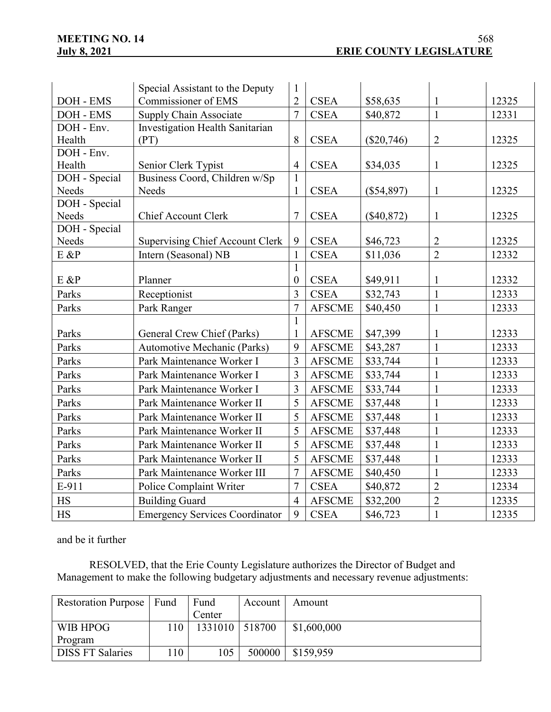|               | Special Assistant to the Deputy        | $\mathbf 1$         |               |              |                |       |
|---------------|----------------------------------------|---------------------|---------------|--------------|----------------|-------|
| DOH - EMS     | Commissioner of EMS                    |                     | <b>CSEA</b>   | \$58,635     | 1              | 12325 |
| DOH - EMS     | Supply Chain Associate                 | $\overline{7}$      | <b>CSEA</b>   | \$40,872     | $\mathbf{1}$   | 12331 |
| DOH - Env.    | Investigation Health Sanitarian        |                     |               |              |                |       |
| Health        | (PT)                                   | 8                   | <b>CSEA</b>   | $(\$20,746)$ | $\overline{2}$ | 12325 |
| DOH - Env.    |                                        |                     |               |              |                |       |
| Health        | Senior Clerk Typist                    | $\overline{4}$      | <b>CSEA</b>   | \$34,035     | 1              | 12325 |
| DOH - Special | Business Coord, Children w/Sp          | $\mathbf{1}$        |               |              |                |       |
| Needs         | Needs                                  | $\mathbf 1$         | <b>CSEA</b>   | $(\$54,897)$ | $\mathbf{1}$   | 12325 |
| DOH - Special |                                        |                     |               |              |                |       |
| Needs         | <b>Chief Account Clerk</b>             | 7                   | <b>CSEA</b>   | $(\$40,872)$ | 1              | 12325 |
| DOH - Special |                                        |                     |               |              |                |       |
| Needs         | <b>Supervising Chief Account Clerk</b> | 9                   | <b>CSEA</b>   | \$46,723     | $\overline{2}$ | 12325 |
| E &P          | Intern (Seasonal) NB                   | $\mathbf{1}$        | <b>CSEA</b>   | \$11,036     | $\overline{2}$ | 12332 |
|               |                                        | $\mathbf{1}$        |               |              |                |       |
| $E$ &P        | Planner                                | $\boldsymbol{0}$    | <b>CSEA</b>   | \$49,911     | 1              | 12332 |
| Parks         | Receptionist                           | 3<br>$\overline{7}$ | <b>CSEA</b>   | \$32,743     | $\mathbf{1}$   | 12333 |
| Parks         | Park Ranger                            |                     | <b>AFSCME</b> | \$40,450     | $\mathbf{1}$   | 12333 |
|               |                                        | $\mathbf{1}$        |               |              |                |       |
| Parks         | General Crew Chief (Parks)             | 1                   | <b>AFSCME</b> | \$47,399     | 1              | 12333 |
| Parks         | Automotive Mechanic (Parks)            | 9                   | <b>AFSCME</b> | \$43,287     | 1              | 12333 |
| Parks         | Park Maintenance Worker I              | $\overline{3}$      | <b>AFSCME</b> | \$33,744     | $\mathbf{1}$   | 12333 |
| Parks         | Park Maintenance Worker I              | 3                   | <b>AFSCME</b> | \$33,744     | $\mathbf{1}$   | 12333 |
| Parks         | Park Maintenance Worker I              | 3                   | <b>AFSCME</b> | \$33,744     | $\mathbf{1}$   | 12333 |
| Parks         | Park Maintenance Worker II             | 5                   | <b>AFSCME</b> | \$37,448     | $\mathbf{1}$   | 12333 |
| Parks         | Park Maintenance Worker II             | 5                   | <b>AFSCME</b> | \$37,448     | $\mathbf{1}$   | 12333 |
| Parks         | Park Maintenance Worker II             | 5                   | <b>AFSCME</b> | \$37,448     | 1              | 12333 |
| Parks         | Park Maintenance Worker II             | 5                   | <b>AFSCME</b> | \$37,448     | $\mathbf{1}$   | 12333 |
| Parks         | Park Maintenance Worker II             | 5                   | <b>AFSCME</b> | \$37,448     | $\mathbf{1}$   | 12333 |
| Parks         | Park Maintenance Worker III            | $\overline{7}$      | <b>AFSCME</b> | \$40,450     | $\mathbf{1}$   | 12333 |
| E-911         | Police Complaint Writer                | $\overline{7}$      | <b>CSEA</b>   | \$40,872     | $\overline{2}$ | 12334 |
| <b>HS</b>     | <b>Building Guard</b>                  | $\overline{4}$      | <b>AFSCME</b> | \$32,200     | $\overline{2}$ | 12335 |
| <b>HS</b>     | <b>Emergency Services Coordinator</b>  | 9                   | <b>CSEA</b>   | \$46,723     | $\mathbf{1}$   | 12335 |

and be it further

RESOLVED, that the Erie County Legislature authorizes the Director of Budget and Management to make the following budgetary adjustments and necessary revenue adjustments:

| Restoration Purpose   Fund |    | Fund             | Account | Amount      |
|----------------------------|----|------------------|---------|-------------|
|                            |    | Center           |         |             |
| WIB HPOG                   | 10 | 1331010   518700 |         | \$1,600,000 |
| Program                    |    |                  |         |             |
| <b>DISS FT Salaries</b>    | 10 | 105              | 500000  | \$159,959   |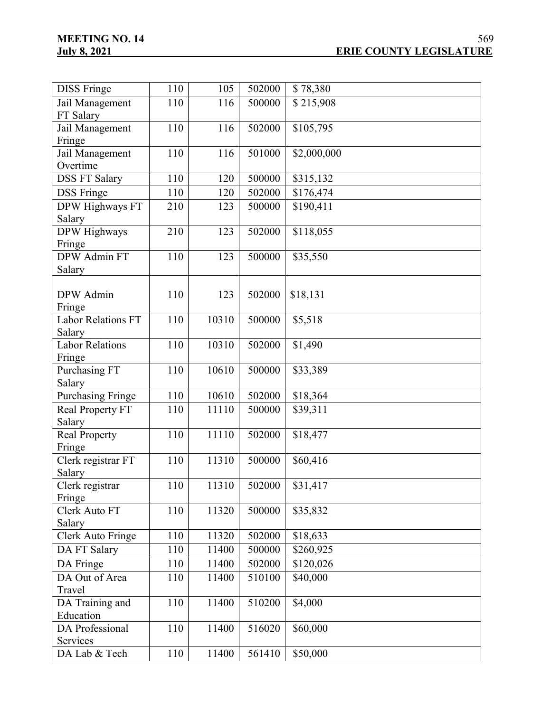| <b>DISS Fringe</b>           | 110 | 105   | 502000                       | \$78,380    |
|------------------------------|-----|-------|------------------------------|-------------|
| Jail Management              | 110 | 116   | 500000                       | \$215,908   |
| FT Salary                    |     |       |                              |             |
| Jail Management              | 110 | 116   | 502000                       | \$105,795   |
| Fringe                       |     |       |                              |             |
| Jail Management              | 110 | 116   | 501000                       | \$2,000,000 |
| Overtime                     |     |       |                              |             |
| <b>DSS FT Salary</b>         | 110 | 120   | 500000                       | \$315,132   |
| <b>DSS</b> Fringe            | 110 | 120   | 502000                       | \$176,474   |
|                              |     |       |                              | \$190,411   |
| DPW Highways FT              | 210 | 123   | 500000                       |             |
| Salary                       |     |       |                              |             |
| DPW Highways                 | 210 | 123   | 502000                       | \$118,055   |
| Fringe<br>DPW Admin FT       | 110 | 123   | 500000                       | \$35,550    |
|                              |     |       |                              |             |
| Salary                       |     |       |                              |             |
| DPW Admin                    | 110 | 123   | 502000                       | \$18,131    |
|                              |     |       |                              |             |
| Fringe                       | 110 | 10310 |                              | \$5,518     |
| Labor Relations FT<br>Salary |     |       | 500000                       |             |
| <b>Labor Relations</b>       | 110 | 10310 | 502000                       | \$1,490     |
|                              |     |       |                              |             |
| Fringe<br>Purchasing FT      | 110 | 10610 | 500000                       | \$33,389    |
| Salary                       |     |       |                              |             |
| <b>Purchasing Fringe</b>     | 110 | 10610 | 502000                       | \$18,364    |
| Real Property FT             | 110 |       | 500000                       | \$39,311    |
| Salary                       |     | 11110 |                              |             |
| <b>Real Property</b>         | 110 | 11110 | 502000                       | \$18,477    |
| Fringe                       |     |       |                              |             |
| Clerk registrar FT           | 110 | 11310 | 500000                       | \$60,416    |
| Salary                       |     |       |                              |             |
| Clerk registrar              | 110 | 11310 | $\boxed{502000 \ \ 531,417}$ |             |
| Fringe                       |     |       |                              |             |
| Clerk Auto FT                | 110 | 11320 | 500000                       | \$35,832    |
| Salary                       |     |       |                              |             |
| Clerk Auto Fringe            | 110 | 11320 | 502000                       | \$18,633    |
| DA FT Salary                 | 110 | 11400 | 500000                       | \$260,925   |
|                              |     |       |                              |             |
| DA Fringe                    | 110 | 11400 | 502000                       | \$120,026   |
| DA Out of Area               | 110 | 11400 | 510100                       | \$40,000    |
| Travel                       |     |       |                              |             |
| DA Training and              | 110 | 11400 | 510200                       | \$4,000     |
| Education                    |     |       |                              |             |
| DA Professional              | 110 | 11400 | 516020                       | \$60,000    |
| Services                     |     |       |                              |             |
| DA Lab & Tech                | 110 | 11400 | 561410                       | \$50,000    |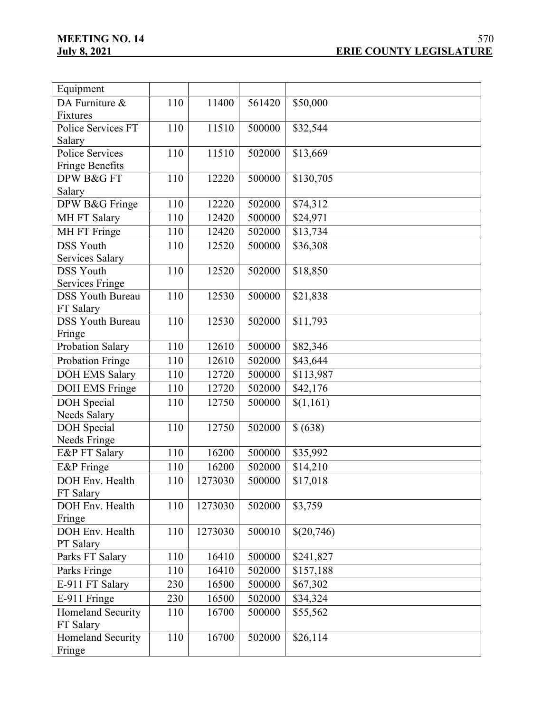| Equipment                |     |         |        |            |
|--------------------------|-----|---------|--------|------------|
| DA Furniture &           | 110 | 11400   | 561420 | \$50,000   |
| Fixtures                 |     |         |        |            |
| Police Services FT       | 110 | 11510   | 500000 | \$32,544   |
| Salary                   |     |         |        |            |
| <b>Police Services</b>   | 110 | 11510   | 502000 | \$13,669   |
| Fringe Benefits          |     |         |        |            |
| DPW B&G FT               | 110 | 12220   | 500000 | \$130,705  |
| Salary                   |     |         |        |            |
| DPW B&G Fringe           | 110 | 12220   | 502000 | \$74,312   |
| MH FT Salary             | 110 | 12420   | 500000 | \$24,971   |
| MH FT Fringe             | 110 | 12420   | 502000 | \$13,734   |
| <b>DSS Youth</b>         | 110 | 12520   | 500000 | \$36,308   |
| Services Salary          |     |         |        |            |
| <b>DSS Youth</b>         | 110 | 12520   | 502000 | \$18,850   |
| <b>Services Fringe</b>   |     |         |        |            |
| <b>DSS Youth Bureau</b>  | 110 | 12530   | 500000 | \$21,838   |
| FT Salary                |     |         |        |            |
| <b>DSS Youth Bureau</b>  | 110 | 12530   | 502000 | \$11,793   |
| Fringe                   |     |         |        |            |
| Probation Salary         | 110 | 12610   | 500000 | \$82,346   |
| Probation Fringe         | 110 | 12610   | 502000 | \$43,644   |
| <b>DOH EMS Salary</b>    | 110 | 12720   | 500000 | \$113,987  |
| DOH EMS Fringe           | 110 | 12720   | 502000 | \$42,176   |
| <b>DOH</b> Special       | 110 | 12750   | 500000 | \$(1,161)  |
| Needs Salary             |     |         |        |            |
| <b>DOH</b> Special       | 110 | 12750   | 502000 | \$ (638)   |
| Needs Fringe             |     |         |        |            |
| E&P FT Salary            | 110 | 16200   | 500000 | \$35,992   |
| E&P Fringe               | 110 | 16200   | 502000 | \$14,210   |
| DOH Env. Health          | 110 | 1273030 | 500000 | \$17,018   |
| FT Salary                |     |         |        |            |
| DOH Env. Health          | 110 | 1273030 | 502000 | \$3,759    |
| Fringe                   |     |         |        |            |
| DOH Env. Health          | 110 | 1273030 | 500010 | \$(20,746) |
| PT Salary                |     |         |        |            |
| Parks FT Salary          | 110 | 16410   | 500000 | \$241,827  |
| Parks Fringe             | 110 | 16410   | 502000 | \$157,188  |
| E-911 FT Salary          | 230 | 16500   | 500000 | \$67,302   |
| E-911 Fringe             | 230 | 16500   | 502000 | \$34,324   |
| Homeland Security        | 110 | 16700   | 500000 | \$55,562   |
| FT Salary                |     |         |        |            |
| <b>Homeland Security</b> | 110 | 16700   | 502000 | \$26,114   |
| Fringe                   |     |         |        |            |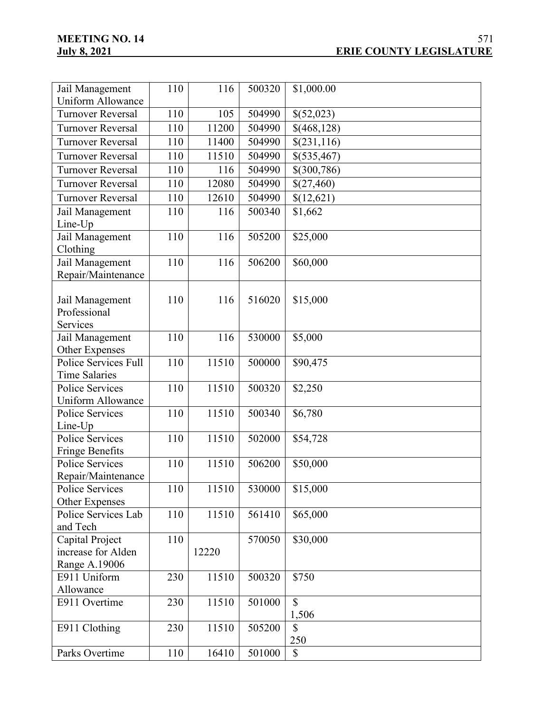| Jail Management                 | 110 | 116   | 500320 | \$1,000.00    |
|---------------------------------|-----|-------|--------|---------------|
| <b>Uniform Allowance</b>        |     |       |        |               |
| <b>Turnover Reversal</b>        | 110 | 105   | 504990 | \$(52,023)    |
| <b>Turnover Reversal</b>        | 110 | 11200 | 504990 | \$(468,128)   |
| <b>Turnover Reversal</b>        | 110 | 11400 | 504990 | \$(231,116)   |
| <b>Turnover Reversal</b>        | 110 | 11510 | 504990 | \$(535,467)   |
| <b>Turnover Reversal</b>        | 110 | 116   | 504990 | \$(300,786)   |
| <b>Turnover Reversal</b>        | 110 | 12080 | 504990 | \$(27,460)    |
| <b>Turnover Reversal</b>        | 110 | 12610 | 504990 | \$(12,621)    |
| Jail Management                 | 110 | 116   | 500340 | \$1,662       |
| Line-Up                         |     |       |        |               |
| Jail Management                 | 110 | 116   | 505200 | \$25,000      |
| Clothing                        |     |       |        |               |
| Jail Management                 | 110 | 116   | 506200 | \$60,000      |
| Repair/Maintenance              |     |       |        |               |
|                                 | 110 | 116   | 516020 |               |
| Jail Management<br>Professional |     |       |        | \$15,000      |
| Services                        |     |       |        |               |
| Jail Management                 | 110 | 116   | 530000 | \$5,000       |
| Other Expenses                  |     |       |        |               |
| Police Services Full            | 110 | 11510 | 500000 | \$90,475      |
| <b>Time Salaries</b>            |     |       |        |               |
| Police Services                 | 110 | 11510 | 500320 | \$2,250       |
| <b>Uniform Allowance</b>        |     |       |        |               |
| <b>Police Services</b>          | 110 | 11510 | 500340 | \$6,780       |
| Line-Up                         |     |       |        |               |
| <b>Police Services</b>          | 110 | 11510 | 502000 | \$54,728      |
| <b>Fringe Benefits</b>          |     |       |        |               |
| <b>Police Services</b>          | 110 | 11510 | 506200 | \$50,000      |
| Repair/Maintenance              |     |       |        |               |
| Police Services                 | 110 | 11510 | 530000 | \$15,000      |
| Other Expenses                  |     |       |        |               |
| Police Services Lab             | 110 | 11510 | 561410 | \$65,000      |
| and Tech                        |     |       |        |               |
| Capital Project                 | 110 |       | 570050 | \$30,000      |
| increase for Alden              |     | 12220 |        |               |
| Range A.19006<br>E911 Uniform   | 230 | 11510 | 500320 | \$750         |
| Allowance                       |     |       |        |               |
| E911 Overtime                   | 230 | 11510 | 501000 | $\mathsf{\$}$ |
|                                 |     |       |        | 1,506         |
| E911 Clothing                   | 230 | 11510 | 505200 | $\mathbb{S}$  |
|                                 |     |       |        | 250           |
| Parks Overtime                  | 110 | 16410 | 501000 | \$            |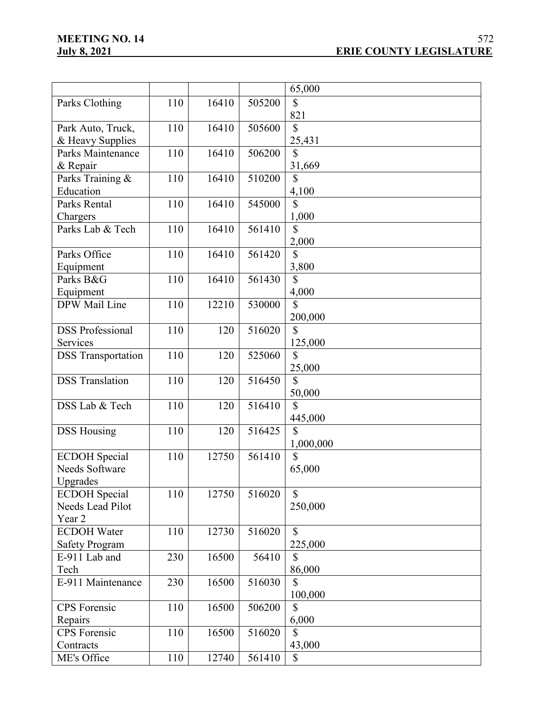|                           |     |       |        | 65,000                   |
|---------------------------|-----|-------|--------|--------------------------|
|                           |     |       |        |                          |
| Parks Clothing            | 110 | 16410 | 505200 | $\mathbb{S}$             |
|                           |     |       |        | 821                      |
| Park Auto, Truck,         | 110 | 16410 | 505600 | $\mathbb{S}$             |
| & Heavy Supplies          |     |       |        | 25,431                   |
| Parks Maintenance         | 110 | 16410 | 506200 | \$                       |
| & Repair                  |     |       |        | 31,669                   |
| Parks Training &          | 110 | 16410 | 510200 | \$                       |
| Education                 |     |       |        | 4,100                    |
| Parks Rental              | 110 | 16410 | 545000 | $\overline{\mathcal{S}}$ |
| Chargers                  |     |       |        | 1,000                    |
| Parks Lab & Tech          | 110 | 16410 | 561410 | $\mathbb{S}$             |
|                           |     |       |        |                          |
|                           |     |       |        | 2,000                    |
| Parks Office              | 110 | 16410 | 561420 | $\mathbf S$              |
| Equipment                 |     |       |        | 3,800                    |
| Parks B&G                 | 110 | 16410 | 561430 | \$                       |
| Equipment                 |     |       |        | 4,000                    |
| DPW Mail Line             | 110 | 12210 | 530000 | $\mathcal{S}$            |
|                           |     |       |        | 200,000                  |
| <b>DSS Professional</b>   | 110 | 120   | 516020 | $\mathbb{S}$             |
| Services                  |     |       |        | 125,000                  |
| <b>DSS</b> Transportation | 110 | 120   | 525060 | $\mathbb{S}$             |
|                           |     |       |        | 25,000                   |
| <b>DSS</b> Translation    | 110 | 120   | 516450 | $\mathbb{S}$             |
|                           |     |       |        | 50,000                   |
| DSS Lab & Tech            | 110 | 120   | 516410 | $\mathbb{S}$             |
|                           |     |       |        |                          |
|                           |     |       |        | 445,000                  |
| <b>DSS Housing</b>        | 110 | 120   | 516425 | \$                       |
|                           |     |       |        | 1,000,000                |
| <b>ECDOH</b> Special      | 110 | 12750 | 561410 | $\mathbb{S}$             |
| Needs Software            |     |       |        | 65,000                   |
| Upgrades                  |     |       |        |                          |
| <b>ECDOH</b> Special      | 110 | 12750 | 516020 | $\mathbb{S}$             |
| Needs Lead Pilot          |     |       |        | 250,000                  |
| Year 2                    |     |       |        |                          |
| <b>ECDOH</b> Water        | 110 | 12730 | 516020 | $\mathbb{S}$             |
| <b>Safety Program</b>     |     |       |        | 225,000                  |
| E-911 Lab and             | 230 | 16500 | 56410  | \$                       |
| Tech                      |     |       |        | 86,000                   |
| E-911 Maintenance         |     |       |        | $\mathbb{S}$             |
|                           | 230 | 16500 | 516030 |                          |
|                           |     |       |        | 100,000                  |
| <b>CPS</b> Forensic       | 110 | 16500 | 506200 | $\mathbb{S}$             |
| Repairs                   |     |       |        | 6,000                    |
| <b>CPS</b> Forensic       | 110 | 16500 | 516020 | \$                       |
| Contracts                 |     |       |        | 43,000                   |
| ME's Office               | 110 | 12740 | 561410 | $\mathbb{S}$             |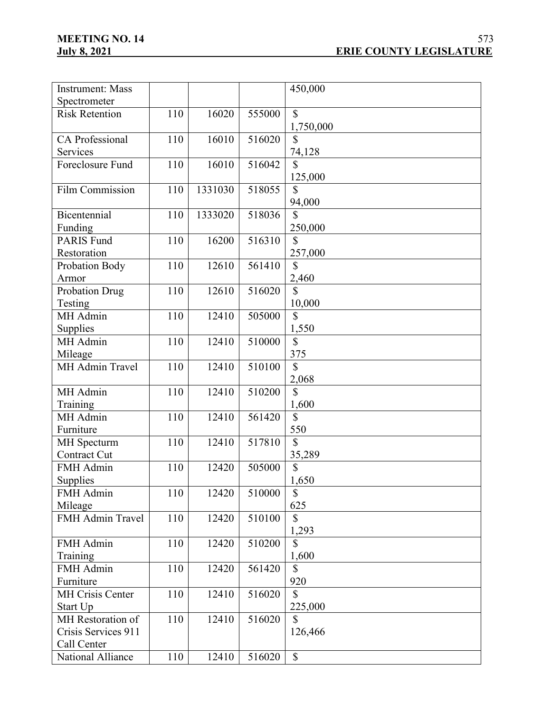| <b>Instrument: Mass</b> |     |         |        | 450,000                  |
|-------------------------|-----|---------|--------|--------------------------|
| Spectrometer            |     |         |        |                          |
| <b>Risk Retention</b>   | 110 | 16020   | 555000 | $\mathbb{S}$             |
|                         |     |         |        | 1,750,000                |
| CA Professional         | 110 | 16010   | 516020 | \$                       |
| Services                |     |         |        | 74,128                   |
| Foreclosure Fund        | 110 | 16010   | 516042 | $\mathbb{S}$             |
|                         |     |         |        | 125,000                  |
| <b>Film Commission</b>  | 110 | 1331030 | 518055 | \$                       |
|                         |     |         |        | 94,000                   |
| Bicentennial            | 110 | 1333020 | 518036 | $\mathsf{\$}$            |
| Funding                 |     |         |        | 250,000                  |
| <b>PARIS Fund</b>       | 110 | 16200   | 516310 | \$                       |
| Restoration             |     |         |        | 257,000                  |
| Probation Body          | 110 | 12610   | 561410 | $\mathbb{S}$             |
| Armor                   |     |         |        | 2,460                    |
| <b>Probation Drug</b>   | 110 | 12610   | 516020 | $\mathbb{S}$             |
| Testing                 |     |         |        | 10,000                   |
| MH Admin                | 110 | 12410   | 505000 | $\mathbf S$              |
| Supplies                |     |         |        | 1,550                    |
| MH Admin                | 110 | 12410   | 510000 | \$                       |
| Mileage                 |     |         |        | 375                      |
| <b>MH Admin Travel</b>  | 110 | 12410   | 510100 | $\mathbb{S}$             |
|                         |     |         |        | 2,068                    |
| MH Admin                | 110 | 12410   | 510200 | $\mathbb{S}$             |
| Training                |     |         |        | 1,600                    |
| MH Admin                | 110 | 12410   | 561420 | $\mathbb{S}$             |
| Furniture               |     |         |        | 550                      |
| <b>MH</b> Specturm      | 110 | 12410   | 517810 | $\mathbb{S}$             |
| <b>Contract Cut</b>     |     |         |        | 35,289                   |
| FMH Admin               | 110 | 12420   | 505000 | \$                       |
| Supplies                |     |         |        | 1,650                    |
| FMH Admin               | 110 | 12420   | 510000 | $\mathbb{S}$             |
| Mileage                 |     |         |        | 625                      |
| FMH Admin Travel        | 110 | 12420   | 510100 | \$                       |
|                         |     |         |        | 1,293                    |
| FMH Admin               | 110 | 12420   | 510200 | $\overline{\mathcal{S}}$ |
| Training                |     |         |        | 1,600                    |
| FMH Admin               | 110 | 12420   | 561420 | $\mathbb{S}$             |
| Furniture               |     |         |        | 920                      |
| <b>MH Crisis Center</b> | 110 | 12410   | 516020 | \$                       |
| Start Up                |     |         |        | 225,000                  |
| MH Restoration of       | 110 | 12410   | 516020 | $\mathbb{S}$             |
| Crisis Services 911     |     |         |        | 126,466                  |
| Call Center             |     |         |        |                          |
| National Alliance       | 110 | 12410   | 516020 | $\mathbb{S}$             |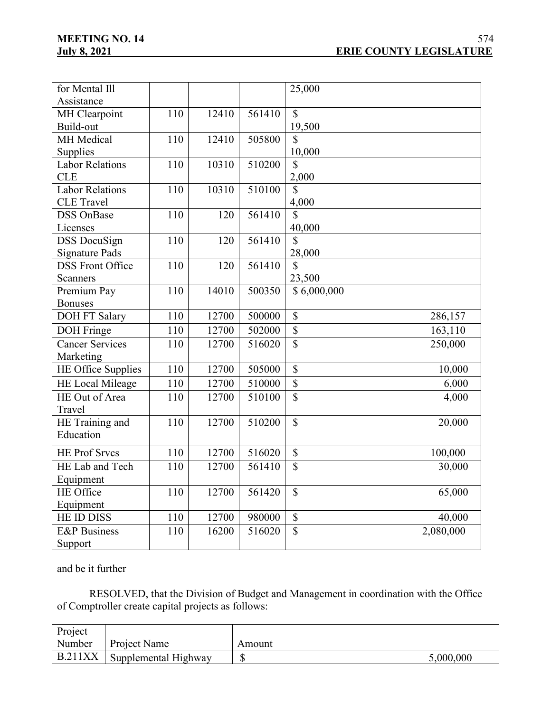| for Mental Ill            |     |       |        | 25,000                   |           |
|---------------------------|-----|-------|--------|--------------------------|-----------|
| Assistance                |     |       |        |                          |           |
| MH Clearpoint             | 110 | 12410 | 561410 | $\mathbb{S}$             |           |
| Build-out                 |     |       |        | 19,500                   |           |
| MH Medical                | 110 | 12410 | 505800 | \$                       |           |
| Supplies                  |     |       |        | 10,000                   |           |
| <b>Labor Relations</b>    | 110 | 10310 | 510200 | $\mathbb{S}$             |           |
| <b>CLE</b>                |     |       |        | 2,000                    |           |
| Labor Relations           | 110 | 10310 | 510100 | $\mathbb{S}$             |           |
| <b>CLE</b> Travel         |     |       |        | 4,000                    |           |
| <b>DSS OnBase</b>         | 110 | 120   | 561410 | $\mathbb{S}$             |           |
| Licenses                  |     |       |        | 40,000                   |           |
| <b>DSS</b> DocuSign       | 110 | 120   | 561410 | $\mathbb{S}$             |           |
| <b>Signature Pads</b>     |     |       |        | 28,000                   |           |
| <b>DSS Front Office</b>   | 110 | 120   | 561410 | $\mathbb{S}$             |           |
| Scanners                  |     |       |        | 23,500                   |           |
| Premium Pay               | 110 | 14010 | 500350 | \$6,000,000              |           |
| <b>Bonuses</b>            |     |       |        |                          |           |
| <b>DOH FT Salary</b>      | 110 | 12700 | 500000 | $\mathbb{S}$             | 286,157   |
| <b>DOH</b> Fringe         | 110 | 12700 | 502000 | $\overline{\mathcal{S}}$ | 163,110   |
| <b>Cancer Services</b>    | 110 | 12700 | 516020 | $\overline{\$}$          | 250,000   |
| Marketing                 |     |       |        |                          |           |
| <b>HE Office Supplies</b> | 110 | 12700 | 505000 | $\mathbb{S}$             | 10,000    |
| HE Local Mileage          | 110 | 12700 | 510000 | $\$$                     | 6,000     |
| HE Out of Area            | 110 | 12700 | 510100 | $\mathbb{S}$             | 4,000     |
| Travel                    |     |       |        |                          |           |
| HE Training and           | 110 | 12700 | 510200 | $\mathcal{S}$            | 20,000    |
| Education                 |     |       |        |                          |           |
| <b>HE Prof Srvcs</b>      | 110 | 12700 | 516020 | $\mathbb{S}$             | 100,000   |
| HE Lab and Tech           | 110 | 12700 | 561410 | $\mathbb{S}$             | 30,000    |
| Equipment                 |     |       |        |                          |           |
| HE Office                 | 110 | 12700 | 561420 | $\mathbb{S}$             | 65,000    |
| Equipment                 |     |       |        |                          |           |
| <b>HE ID DISS</b>         | 110 | 12700 | 980000 | $\mathbb{S}$             | 40,000    |
| <b>E&amp;P</b> Business   | 110 | 16200 | 516020 | $\overline{\mathbb{S}}$  | 2,080,000 |
| Support                   |     |       |        |                          |           |
|                           |     |       |        |                          |           |

and be it further

RESOLVED, that the Division of Budget and Management in coordination with the Office of Comptroller create capital projects as follows:

| Project        |                      |        |           |
|----------------|----------------------|--------|-----------|
| Number         | Project Name         | Amount |           |
| <b>B.211XX</b> | Supplemental Highway |        | 5,000,000 |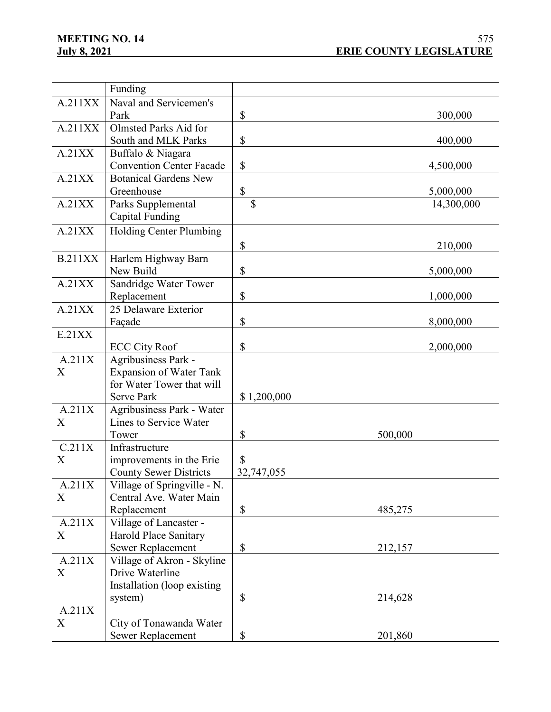|                  | Funding                                                      |                           |            |
|------------------|--------------------------------------------------------------|---------------------------|------------|
| A.211XX          | Naval and Servicemen's                                       |                           |            |
|                  | Park                                                         | \$                        | 300,000    |
| A.211XX          | Olmsted Parks Aid for                                        |                           |            |
|                  | South and MLK Parks                                          | \$                        | 400,000    |
| A.21XX           | Buffalo & Niagara                                            |                           |            |
|                  | <b>Convention Center Facade</b>                              | $\mathbb{S}$              | 4,500,000  |
| A.21XX           | <b>Botanical Gardens New</b>                                 |                           |            |
|                  | Greenhouse                                                   | \$                        | 5,000,000  |
| A.21XX           | Parks Supplemental                                           | $\mathbf S$               | 14,300,000 |
|                  | Capital Funding                                              |                           |            |
| A.21XX           | Holding Center Plumbing                                      |                           |            |
|                  |                                                              | \$                        | 210,000    |
| <b>B.211XX</b>   | Harlem Highway Barn                                          |                           |            |
|                  | New Build                                                    | \$                        | 5,000,000  |
| A.21XX           | Sandridge Water Tower                                        |                           |            |
|                  | Replacement                                                  | \$                        | 1,000,000  |
| A.21XX           | 25 Delaware Exterior                                         |                           |            |
|                  | Façade                                                       | \$                        | 8,000,000  |
| E.21XX           |                                                              |                           |            |
|                  | <b>ECC City Roof</b>                                         | \$                        | 2,000,000  |
| A.211X           | Agribusiness Park -                                          |                           |            |
| $\boldsymbol{X}$ | <b>Expansion of Water Tank</b>                               |                           |            |
|                  | for Water Tower that will                                    |                           |            |
|                  | <b>Serve Park</b>                                            | \$1,200,000               |            |
| A.211X           | Agribusiness Park - Water                                    |                           |            |
| X                | Lines to Service Water                                       |                           |            |
| C.211X           | Tower                                                        | \$                        | 500,000    |
|                  | Infrastructure                                               | $\mathcal{S}$             |            |
| X                | improvements in the Erie                                     |                           |            |
| A.211X           | <b>County Sewer Districts</b><br>Village of Springville - N. | 32,747,055                |            |
| X                | Central Ave. Water Main                                      |                           |            |
|                  | Replacement                                                  | \$                        | 485,275    |
| A.211X           | Village of Lancaster -                                       |                           |            |
| X                | Harold Place Sanitary                                        |                           |            |
|                  | Sewer Replacement                                            | \$                        | 212,157    |
| A.211X           | Village of Akron - Skyline                                   |                           |            |
| X                | Drive Waterline                                              |                           |            |
|                  | Installation (loop existing                                  |                           |            |
|                  | system)                                                      | $\boldsymbol{\mathsf{S}}$ | 214,628    |
| A.211X           |                                                              |                           |            |
| X                | City of Tonawanda Water                                      |                           |            |
|                  | Sewer Replacement                                            | \$                        | 201,860    |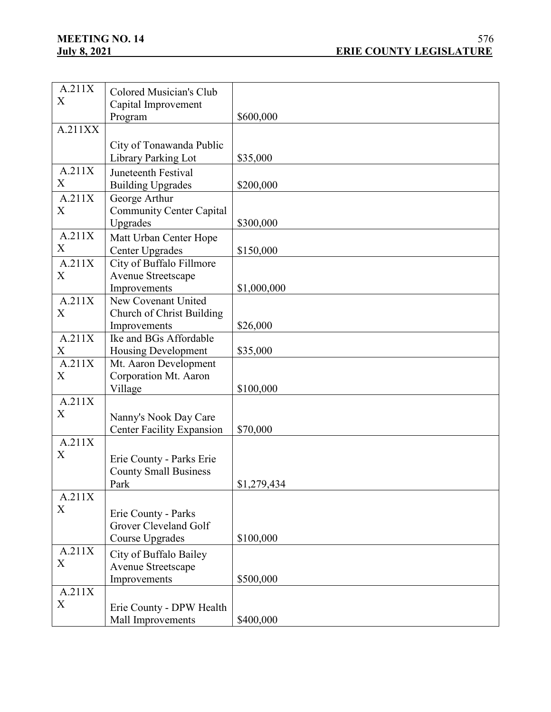| A.211X           | Colored Musician's Club          |             |
|------------------|----------------------------------|-------------|
| $\boldsymbol{X}$ | Capital Improvement              |             |
|                  | Program                          | \$600,000   |
| A.211XX          |                                  |             |
|                  |                                  |             |
|                  | City of Tonawanda Public         |             |
|                  | Library Parking Lot              | \$35,000    |
| A.211X           | Juneteenth Festival              |             |
| X                | <b>Building Upgrades</b>         | \$200,000   |
| A.211X           | George Arthur                    |             |
| X                | <b>Community Center Capital</b>  |             |
|                  | Upgrades                         | \$300,000   |
| A.211X           | Matt Urban Center Hope           |             |
| X                | Center Upgrades                  | \$150,000   |
| A.211X           | City of Buffalo Fillmore         |             |
| X                | Avenue Streetscape               |             |
|                  | Improvements                     | \$1,000,000 |
| A.211X           | New Covenant United              |             |
| X                | Church of Christ Building        |             |
|                  | Improvements                     | \$26,000    |
| A.211X           | Ike and BGs Affordable           |             |
| X                | <b>Housing Development</b>       | \$35,000    |
| A.211X           | Mt. Aaron Development            |             |
| X                | Corporation Mt. Aaron            |             |
|                  | Village                          | \$100,000   |
| A.211X           |                                  |             |
| $\boldsymbol{X}$ | Nanny's Nook Day Care            |             |
|                  | <b>Center Facility Expansion</b> | \$70,000    |
| A.211X           |                                  |             |
| X                |                                  |             |
|                  | Erie County - Parks Erie         |             |
|                  | <b>County Small Business</b>     |             |
|                  | <b>Park</b>                      | \$1,279,434 |
| A.211X           |                                  |             |
| X                | Erie County - Parks              |             |
|                  | Grover Cleveland Golf            |             |
|                  | Course Upgrades                  | \$100,000   |
| A.211X           | City of Buffalo Bailey           |             |
| X                | Avenue Streetscape               |             |
|                  | Improvements                     | \$500,000   |
| A.211X           |                                  |             |
| X                |                                  |             |
|                  | Erie County - DPW Health         |             |
|                  | Mall Improvements                | \$400,000   |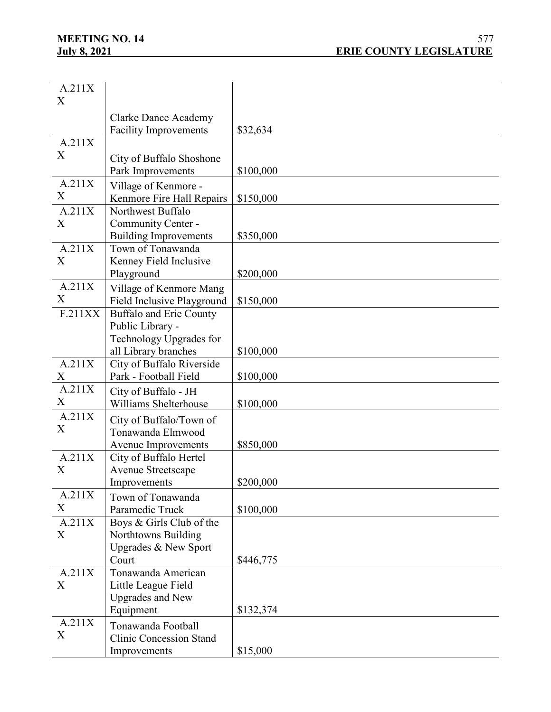| A.211X           |                                |           |
|------------------|--------------------------------|-----------|
| X                |                                |           |
|                  |                                |           |
|                  | <b>Clarke Dance Academy</b>    |           |
|                  | <b>Facility Improvements</b>   | \$32,634  |
| A.211X           |                                |           |
| X                | City of Buffalo Shoshone       |           |
|                  | Park Improvements              | \$100,000 |
| A.211X           | Village of Kenmore -           |           |
| X                | Kenmore Fire Hall Repairs      | \$150,000 |
| A.211X           | Northwest Buffalo              |           |
| X                | Community Center -             |           |
|                  | <b>Building Improvements</b>   | \$350,000 |
| A.211X           | Town of Tonawanda              |           |
| X                | Kenney Field Inclusive         |           |
|                  | Playground                     | \$200,000 |
| A.211X           | Village of Kenmore Mang        |           |
| X                | Field Inclusive Playground     | \$150,000 |
| F.211XX          | Buffalo and Erie County        |           |
|                  | Public Library -               |           |
|                  | Technology Upgrades for        |           |
|                  | all Library branches           | \$100,000 |
| A.211X           | City of Buffalo Riverside      |           |
| X                | Park - Football Field          | \$100,000 |
| A.211X           | City of Buffalo - JH           |           |
| X                | Williams Shelterhouse          | \$100,000 |
| A.211X           | City of Buffalo/Town of        |           |
| $\boldsymbol{X}$ | Tonawanda Elmwood              |           |
|                  | Avenue Improvements            | \$850,000 |
| A.211X           | City of Buffalo Hertel         |           |
| $\boldsymbol{X}$ | Avenue Streetscape             |           |
|                  | Improvements                   | \$200,000 |
| A.211X           |                                |           |
| X                | Town of Tonawanda              |           |
|                  | Paramedic Truck                | \$100,000 |
| A.211X           | Boys & Girls Club of the       |           |
| X                | Northtowns Building            |           |
|                  | Upgrades & New Sport           |           |
|                  | Court                          | \$446,775 |
| A.211X           | Tonawanda American             |           |
| X                | Little League Field            |           |
|                  | <b>Upgrades and New</b>        |           |
|                  | Equipment                      | \$132,374 |
| A.211X           | Tonawanda Football             |           |
| X                | <b>Clinic Concession Stand</b> |           |
|                  | Improvements                   | \$15,000  |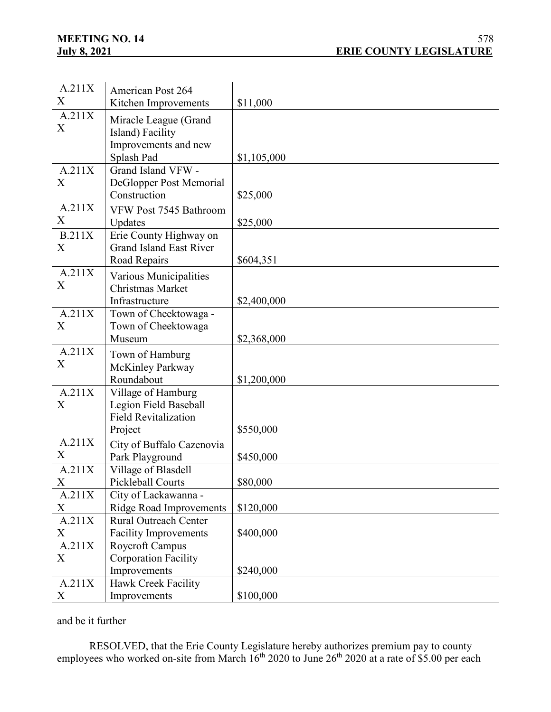| A.211X        | <b>American Post 264</b>       |             |
|---------------|--------------------------------|-------------|
| X             | Kitchen Improvements           | \$11,000    |
| A.211X        |                                |             |
| X             | Miracle League (Grand          |             |
|               | Island) Facility               |             |
|               | Improvements and new           |             |
|               | Splash Pad                     | \$1,105,000 |
| A.211X        | Grand Island VFW -             |             |
| X             | DeGlopper Post Memorial        |             |
|               | Construction                   | \$25,000    |
| A.211X        | VFW Post 7545 Bathroom         |             |
| X             | Updates                        | \$25,000    |
| <b>B.211X</b> | Erie County Highway on         |             |
| X             | <b>Grand Island East River</b> |             |
|               | Road Repairs                   | \$604,351   |
| A.211X        | Various Municipalities         |             |
| X             | Christmas Market               |             |
|               | Infrastructure                 | \$2,400,000 |
| A.211X        | Town of Cheektowaga -          |             |
| X             | Town of Cheektowaga            |             |
|               | Museum                         | \$2,368,000 |
| A.211X        | Town of Hamburg                |             |
| X             | McKinley Parkway               |             |
|               | Roundabout                     | \$1,200,000 |
| A.211X        | Village of Hamburg             |             |
| X             | Legion Field Baseball          |             |
|               | <b>Field Revitalization</b>    |             |
|               | Project                        | \$550,000   |
| A.211X        | City of Buffalo Cazenovia      |             |
| X             | Park Playground                | \$450,000   |
| A.211X        | Village of Blasdell            |             |
| X             | Pickleball Courts              | \$80,000    |
| A.211X        | City of Lackawanna -           |             |
| X             | <b>Ridge Road Improvements</b> | \$120,000   |
| A.211X        | <b>Rural Outreach Center</b>   |             |
| X             | <b>Facility Improvements</b>   | \$400,000   |
| A.211X        | Roycroft Campus                |             |
| X             | <b>Corporation Facility</b>    |             |
|               | Improvements                   | \$240,000   |
| A.211X        | <b>Hawk Creek Facility</b>     |             |
| X             | Improvements                   | \$100,000   |

and be it further

RESOLVED, that the Erie County Legislature hereby authorizes premium pay to county employees who worked on-site from March  $16^{th}$  2020 to June  $26^{th}$  2020 at a rate of \$5.00 per each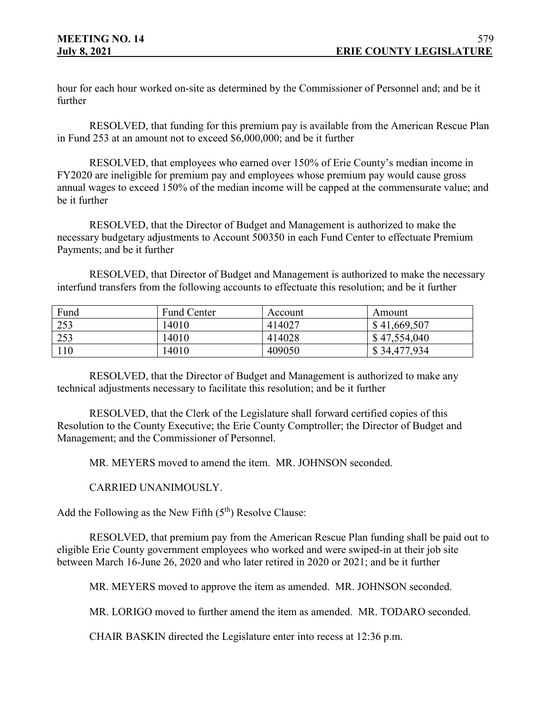hour for each hour worked on-site as determined by the Commissioner of Personnel and; and be it further

RESOLVED, that funding for this premium pay is available from the American Rescue Plan in Fund 253 at an amount not to exceed \$6,000,000; and be it further

RESOLVED, that employees who earned over 150% of Erie County's median income in FY2020 are ineligible for premium pay and employees whose premium pay would cause gross annual wages to exceed 150% of the median income will be capped at the commensurate value; and be it further

RESOLVED, that the Director of Budget and Management is authorized to make the necessary budgetary adjustments to Account 500350 in each Fund Center to effectuate Premium Payments; and be it further

RESOLVED, that Director of Budget and Management is authorized to make the necessary interfund transfers from the following accounts to effectuate this resolution; and be it further

| Fund            | <b>Fund Center</b> | Account | Amount       |
|-----------------|--------------------|---------|--------------|
| 253             | 14010              | 414027  | \$41,669,507 |
| 253             | 14010              | 414028  | \$47,554,040 |
| $\overline{10}$ | 14010              | 409050  | \$34,477,934 |

RESOLVED, that the Director of Budget and Management is authorized to make any technical adjustments necessary to facilitate this resolution; and be it further

RESOLVED, that the Clerk of the Legislature shall forward certified copies of this Resolution to the County Executive; the Erie County Comptroller; the Director of Budget and Management; and the Commissioner of Personnel.

MR. MEYERS moved to amend the item. MR. JOHNSON seconded.

CARRIED UNANIMOUSLY.

Add the Following as the New Fifth  $(5<sup>th</sup>)$  Resolve Clause:

RESOLVED, that premium pay from the American Rescue Plan funding shall be paid out to eligible Erie County government employees who worked and were swiped-in at their job site between March 16-June 26, 2020 and who later retired in 2020 or 2021; and be it further

MR. MEYERS moved to approve the item as amended. MR. JOHNSON seconded.

MR. LORIGO moved to further amend the item as amended. MR. TODARO seconded.

CHAIR BASKIN directed the Legislature enter into recess at 12:36 p.m.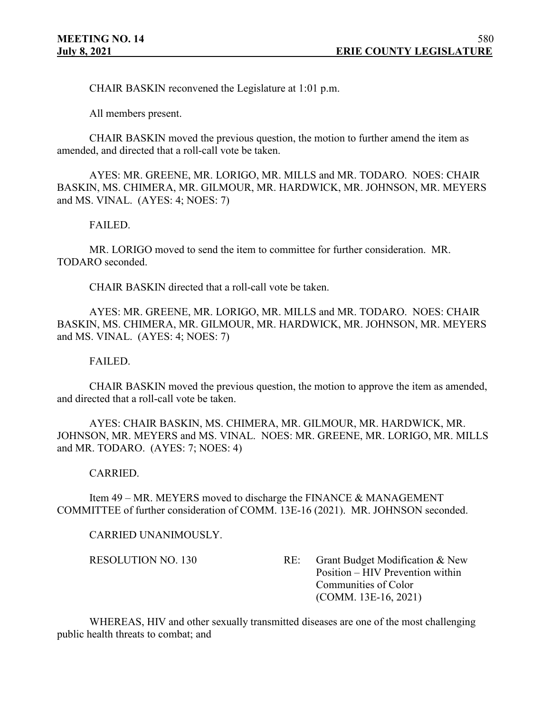CHAIR BASKIN reconvened the Legislature at 1:01 p.m.

All members present.

CHAIR BASKIN moved the previous question, the motion to further amend the item as amended, and directed that a roll-call vote be taken.

AYES: MR. GREENE, MR. LORIGO, MR. MILLS and MR. TODARO. NOES: CHAIR BASKIN, MS. CHIMERA, MR. GILMOUR, MR. HARDWICK, MR. JOHNSON, MR. MEYERS and MS. VINAL. (AYES: 4; NOES: 7)

#### FAILED.

MR. LORIGO moved to send the item to committee for further consideration. MR. TODARO seconded.

CHAIR BASKIN directed that a roll-call vote be taken.

AYES: MR. GREENE, MR. LORIGO, MR. MILLS and MR. TODARO. NOES: CHAIR BASKIN, MS. CHIMERA, MR. GILMOUR, MR. HARDWICK, MR. JOHNSON, MR. MEYERS and MS. VINAL. (AYES: 4; NOES: 7)

FAILED.

CHAIR BASKIN moved the previous question, the motion to approve the item as amended, and directed that a roll-call vote be taken.

AYES: CHAIR BASKIN, MS. CHIMERA, MR. GILMOUR, MR. HARDWICK, MR. JOHNSON, MR. MEYERS and MS. VINAL. NOES: MR. GREENE, MR. LORIGO, MR. MILLS and MR. TODARO. (AYES: 7; NOES: 4)

## CARRIED.

Item 49 – MR. MEYERS moved to discharge the FINANCE & MANAGEMENT COMMITTEE of further consideration of COMM. 13E-16 (2021). MR. JOHNSON seconded.

#### CARRIED UNANIMOUSLY.

RESOLUTION NO. 130 RE: Grant Budget Modification & New Position – HIV Prevention within Communities of Color (COMM. 13E-16, 2021)

WHEREAS, HIV and other sexually transmitted diseases are one of the most challenging public health threats to combat; and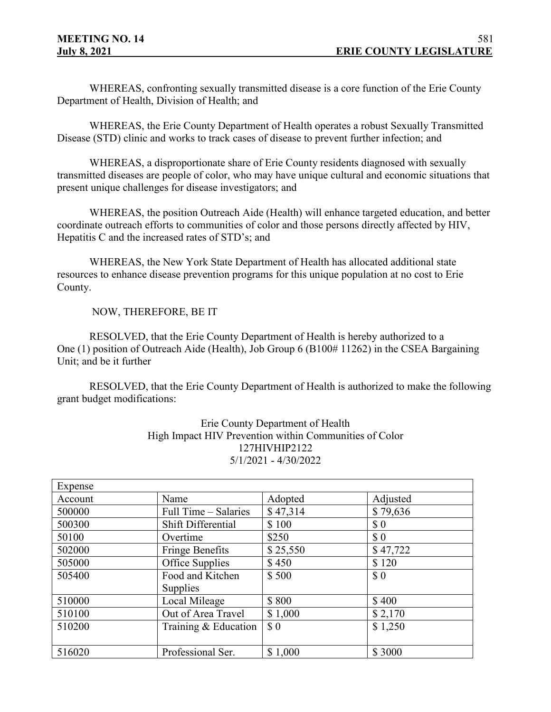WHEREAS, confronting sexually transmitted disease is a core function of the Erie County Department of Health, Division of Health; and

WHEREAS, the Erie County Department of Health operates a robust Sexually Transmitted Disease (STD) clinic and works to track cases of disease to prevent further infection; and

WHEREAS, a disproportionate share of Erie County residents diagnosed with sexually transmitted diseases are people of color, who may have unique cultural and economic situations that present unique challenges for disease investigators; and

WHEREAS, the position Outreach Aide (Health) will enhance targeted education, and better coordinate outreach efforts to communities of color and those persons directly affected by HIV, Hepatitis C and the increased rates of STD's; and

WHEREAS, the New York State Department of Health has allocated additional state resources to enhance disease prevention programs for this unique population at no cost to Erie County.

NOW, THEREFORE, BE IT

RESOLVED, that the Erie County Department of Health is hereby authorized to a One  $(1)$  position of Outreach Aide (Health), Job Group 6 (B100# 11262) in the CSEA Bargaining Unit; and be it further

RESOLVED, that the Erie County Department of Health is authorized to make the following grant budget modifications:

> Erie County Department of Health High Impact HIV Prevention within Communities of Color 127HIVHIP2122 5/1/2021 - 4/30/2022

| Expense |                        |                                                    |                             |
|---------|------------------------|----------------------------------------------------|-----------------------------|
| Account | Name                   | Adopted                                            | Adjusted                    |
| 500000  | Full Time – Salaries   | \$47,314                                           | \$79,636                    |
| 500300  | Shift Differential     | \$100                                              | \$0                         |
| 50100   | Overtime               | \$250                                              | $\boldsymbol{\mathsf{S}}$ 0 |
| 502000  | <b>Fringe Benefits</b> | \$25,550                                           | \$47,722                    |
| 505000  | Office Supplies        | \$450                                              | \$120                       |
| 505400  | Food and Kitchen       | \$500                                              | $\boldsymbol{\mathsf{S}}$ 0 |
|         | Supplies               |                                                    |                             |
| 510000  | Local Mileage          | \$800                                              | \$400                       |
| 510100  | Out of Area Travel     | \$1,000                                            | \$2,170                     |
| 510200  | Training & Education   | $\boldsymbol{\mathsf{S}}\,\boldsymbol{\mathsf{0}}$ | \$1,250                     |
|         |                        |                                                    |                             |
| 516020  | Professional Ser.      | \$1,000                                            | \$3000                      |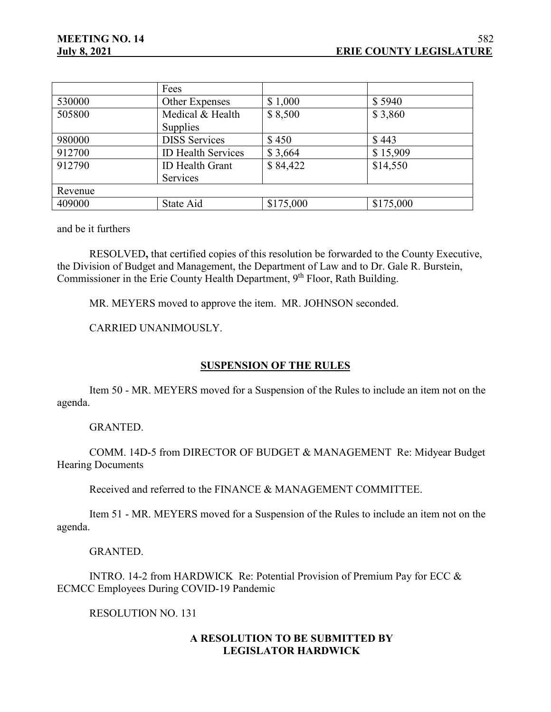|         | Fees                      |           |           |
|---------|---------------------------|-----------|-----------|
| 530000  | Other Expenses            | \$1,000   | \$5940    |
| 505800  | Medical & Health          | \$8,500   | \$3,860   |
|         | Supplies                  |           |           |
| 980000  | <b>DISS</b> Services      | \$450     | \$443     |
| 912700  | <b>ID Health Services</b> | \$3,664   | \$15,909  |
| 912790  | <b>ID</b> Health Grant    | \$84,422  | \$14,550  |
|         | Services                  |           |           |
| Revenue |                           |           |           |
| 409000  | State Aid                 | \$175,000 | \$175,000 |

and be it furthers

RESOLVED**,** that certified copies of this resolution be forwarded to the County Executive, the Division of Budget and Management, the Department of Law and to Dr. Gale R. Burstein, Commissioner in the Erie County Health Department, 9<sup>th</sup> Floor, Rath Building.

MR. MEYERS moved to approve the item. MR. JOHNSON seconded.

CARRIED UNANIMOUSLY.

#### **SUSPENSION OF THE RULES**

Item 50 - MR. MEYERS moved for a Suspension of the Rules to include an item not on the agenda.

GRANTED.

COMM. 14D-5 from DIRECTOR OF BUDGET & MANAGEMENT Re: Midyear Budget Hearing Documents

Received and referred to the FINANCE & MANAGEMENT COMMITTEE.

Item 51 - MR. MEYERS moved for a Suspension of the Rules to include an item not on the agenda.

#### GRANTED.

INTRO. 14-2 from HARDWICK Re: Potential Provision of Premium Pay for ECC & ECMCC Employees During COVID-19 Pandemic

RESOLUTION NO. 131

## **A RESOLUTION TO BE SUBMITTED BY LEGISLATOR HARDWICK**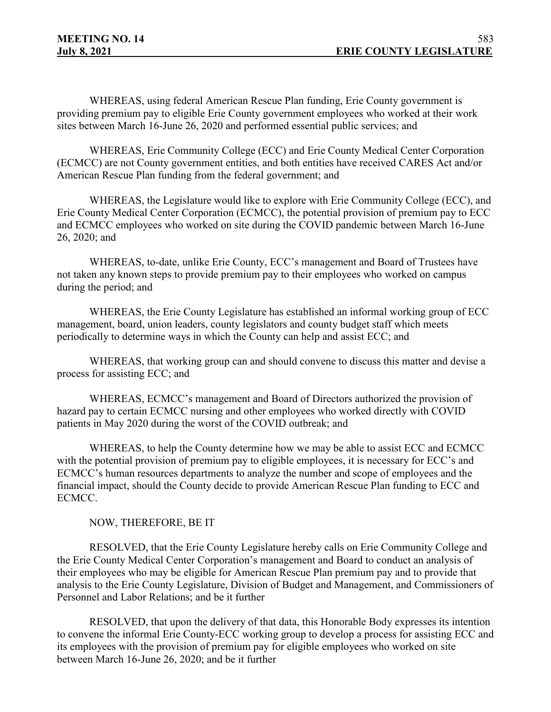WHEREAS, using federal American Rescue Plan funding, Erie County government is providing premium pay to eligible Erie County government employees who worked at their work sites between March 16-June 26, 2020 and performed essential public services; and

WHEREAS, Erie Community College (ECC) and Erie County Medical Center Corporation (ECMCC) are not County government entities, and both entities have received CARES Act and/or American Rescue Plan funding from the federal government; and

WHEREAS, the Legislature would like to explore with Erie Community College (ECC), and Erie County Medical Center Corporation (ECMCC), the potential provision of premium pay to ECC and ECMCC employees who worked on site during the COVID pandemic between March 16-June 26, 2020; and

WHEREAS, to-date, unlike Erie County, ECC's management and Board of Trustees have not taken any known steps to provide premium pay to their employees who worked on campus during the period; and

WHEREAS, the Erie County Legislature has established an informal working group of ECC management, board, union leaders, county legislators and county budget staff which meets periodically to determine ways in which the County can help and assist ECC; and

WHEREAS, that working group can and should convene to discuss this matter and devise a process for assisting ECC; and

WHEREAS, ECMCC's management and Board of Directors authorized the provision of hazard pay to certain ECMCC nursing and other employees who worked directly with COVID patients in May 2020 during the worst of the COVID outbreak; and

WHEREAS, to help the County determine how we may be able to assist ECC and ECMCC with the potential provision of premium pay to eligible employees, it is necessary for ECC's and ECMCC's human resources departments to analyze the number and scope of employees and the financial impact, should the County decide to provide American Rescue Plan funding to ECC and ECMCC.

NOW, THEREFORE, BE IT

RESOLVED, that the Erie County Legislature hereby calls on Erie Community College and the Erie County Medical Center Corporation's management and Board to conduct an analysis of their employees who may be eligible for American Rescue Plan premium pay and to provide that analysis to the Erie County Legislature, Division of Budget and Management, and Commissioners of Personnel and Labor Relations; and be it further

RESOLVED, that upon the delivery of that data, this Honorable Body expresses its intention to convene the informal Erie County-ECC working group to develop a process for assisting ECC and its employees with the provision of premium pay for eligible employees who worked on site between March 16-June 26, 2020; and be it further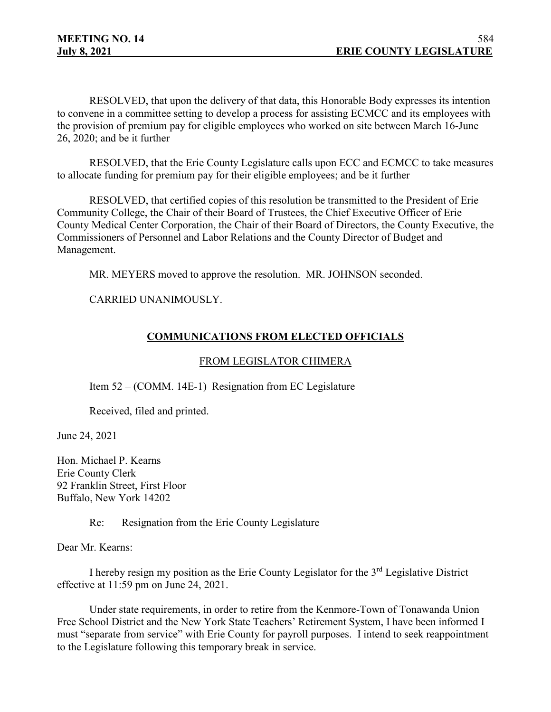RESOLVED, that upon the delivery of that data, this Honorable Body expresses its intention to convene in a committee setting to develop a process for assisting ECMCC and its employees with the provision of premium pay for eligible employees who worked on site between March 16-June 26, 2020; and be it further

RESOLVED, that the Erie County Legislature calls upon ECC and ECMCC to take measures to allocate funding for premium pay for their eligible employees; and be it further

RESOLVED, that certified copies of this resolution be transmitted to the President of Erie Community College, the Chair of their Board of Trustees, the Chief Executive Officer of Erie County Medical Center Corporation, the Chair of their Board of Directors, the County Executive, the Commissioners of Personnel and Labor Relations and the County Director of Budget and Management.

MR. MEYERS moved to approve the resolution. MR. JOHNSON seconded.

CARRIED UNANIMOUSLY.

# **COMMUNICATIONS FROM ELECTED OFFICIALS**

## FROM LEGISLATOR CHIMERA

Item 52 – (COMM. 14E-1) Resignation from EC Legislature

Received, filed and printed.

June 24, 2021

Hon. Michael P. Kearns Erie County Clerk 92 Franklin Street, First Floor Buffalo, New York 14202

Re: Resignation from the Erie County Legislature

Dear Mr. Kearns:

I hereby resign my position as the Erie County Legislator for the 3rd Legislative District effective at 11:59 pm on June 24, 2021.

Under state requirements, in order to retire from the Kenmore-Town of Tonawanda Union Free School District and the New York State Teachers' Retirement System, I have been informed I must "separate from service" with Erie County for payroll purposes. I intend to seek reappointment to the Legislature following this temporary break in service.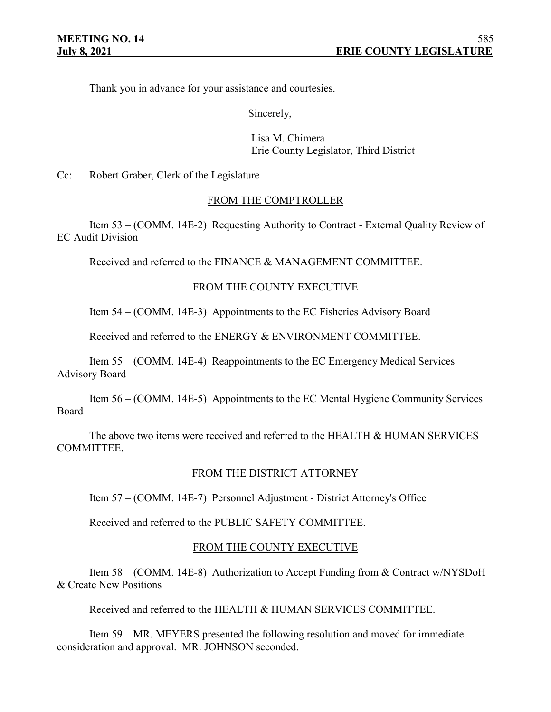Thank you in advance for your assistance and courtesies.

Sincerely,

Lisa M. Chimera Erie County Legislator, Third District

Cc: Robert Graber, Clerk of the Legislature

## FROM THE COMPTROLLER

Item 53 – (COMM. 14E-2) Requesting Authority to Contract - External Quality Review of EC Audit Division

Received and referred to the FINANCE & MANAGEMENT COMMITTEE.

## FROM THE COUNTY EXECUTIVE

Item 54 – (COMM. 14E-3) Appointments to the EC Fisheries Advisory Board

Received and referred to the ENERGY & ENVIRONMENT COMMITTEE.

Item 55 – (COMM. 14E-4) Reappointments to the EC Emergency Medical Services Advisory Board

Item 56 – (COMM. 14E-5) Appointments to the EC Mental Hygiene Community Services Board

The above two items were received and referred to the HEALTH & HUMAN SERVICES COMMITTEE.

## FROM THE DISTRICT ATTORNEY

Item 57 – (COMM. 14E-7) Personnel Adjustment - District Attorney's Office

Received and referred to the PUBLIC SAFETY COMMITTEE.

## FROM THE COUNTY EXECUTIVE

Item 58 – (COMM. 14E-8) Authorization to Accept Funding from & Contract w/NYSDoH & Create New Positions

Received and referred to the HEALTH & HUMAN SERVICES COMMITTEE.

Item 59 – MR. MEYERS presented the following resolution and moved for immediate consideration and approval. MR. JOHNSON seconded.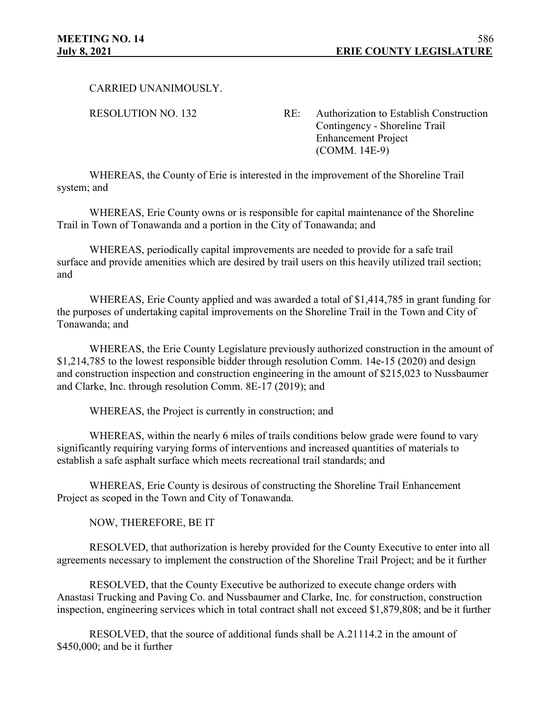CARRIED UNANIMOUSLY.

RESOLUTION NO. 132 RE: Authorization to Establish Construction Contingency - Shoreline Trail Enhancement Project (COMM. 14E-9)

WHEREAS, the County of Erie is interested in the improvement of the Shoreline Trail system; and

WHEREAS, Erie County owns or is responsible for capital maintenance of the Shoreline Trail in Town of Tonawanda and a portion in the City of Tonawanda; and

WHEREAS, periodically capital improvements are needed to provide for a safe trail surface and provide amenities which are desired by trail users on this heavily utilized trail section; and

WHEREAS, Erie County applied and was awarded a total of \$1,414,785 in grant funding for the purposes of undertaking capital improvements on the Shoreline Trail in the Town and City of Tonawanda; and

WHEREAS, the Erie County Legislature previously authorized construction in the amount of \$1,214,785 to the lowest responsible bidder through resolution Comm. 14e-15 (2020) and design and construction inspection and construction engineering in the amount of \$215,023 to Nussbaumer and Clarke, Inc. through resolution Comm. 8E-17 (2019); and

WHEREAS, the Project is currently in construction; and

WHEREAS, within the nearly 6 miles of trails conditions below grade were found to vary significantly requiring varying forms of interventions and increased quantities of materials to establish a safe asphalt surface which meets recreational trail standards; and

WHEREAS, Erie County is desirous of constructing the Shoreline Trail Enhancement Project as scoped in the Town and City of Tonawanda.

NOW, THEREFORE, BE IT

RESOLVED, that authorization is hereby provided for the County Executive to enter into all agreements necessary to implement the construction of the Shoreline Trail Project; and be it further

RESOLVED, that the County Executive be authorized to execute change orders with Anastasi Trucking and Paving Co. and Nussbaumer and Clarke, Inc. for construction, construction inspection, engineering services which in total contract shall not exceed \$1,879,808; and be it further

RESOLVED, that the source of additional funds shall be A.21114.2 in the amount of \$450,000; and be it further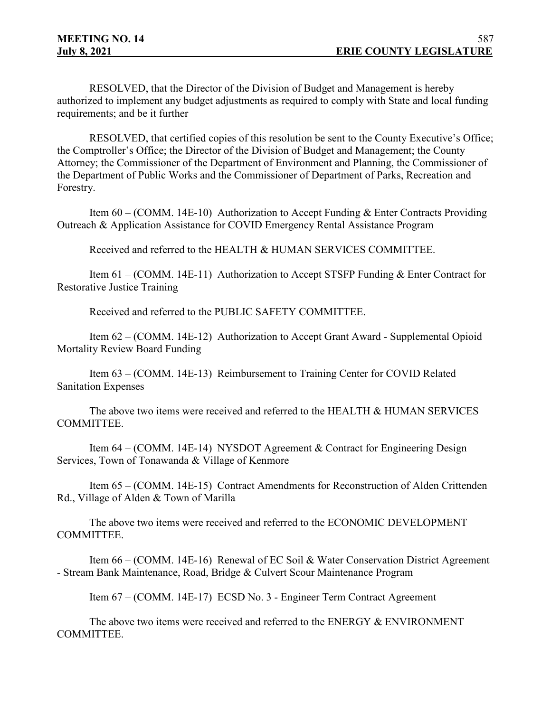RESOLVED, that the Director of the Division of Budget and Management is hereby authorized to implement any budget adjustments as required to comply with State and local funding requirements; and be it further

RESOLVED, that certified copies of this resolution be sent to the County Executive's Office; the Comptroller's Office; the Director of the Division of Budget and Management; the County Attorney; the Commissioner of the Department of Environment and Planning, the Commissioner of the Department of Public Works and the Commissioner of Department of Parks, Recreation and Forestry.

Item 60 – (COMM. 14E-10) Authorization to Accept Funding & Enter Contracts Providing Outreach & Application Assistance for COVID Emergency Rental Assistance Program

Received and referred to the HEALTH & HUMAN SERVICES COMMITTEE.

Item 61 – (COMM. 14E-11) Authorization to Accept STSFP Funding & Enter Contract for Restorative Justice Training

Received and referred to the PUBLIC SAFETY COMMITTEE.

Item 62 – (COMM. 14E-12) Authorization to Accept Grant Award - Supplemental Opioid Mortality Review Board Funding

Item 63 – (COMM. 14E-13) Reimbursement to Training Center for COVID Related Sanitation Expenses

The above two items were received and referred to the HEALTH & HUMAN SERVICES COMMITTEE.

Item 64 – (COMM. 14E-14) NYSDOT Agreement & Contract for Engineering Design Services, Town of Tonawanda & Village of Kenmore

Item 65 – (COMM. 14E-15) Contract Amendments for Reconstruction of Alden Crittenden Rd., Village of Alden & Town of Marilla

The above two items were received and referred to the ECONOMIC DEVELOPMENT COMMITTEE.

Item 66 – (COMM. 14E-16) Renewal of EC Soil & Water Conservation District Agreement - Stream Bank Maintenance, Road, Bridge & Culvert Scour Maintenance Program

Item 67 – (COMM. 14E-17) ECSD No. 3 - Engineer Term Contract Agreement

The above two items were received and referred to the ENERGY & ENVIRONMENT COMMITTEE.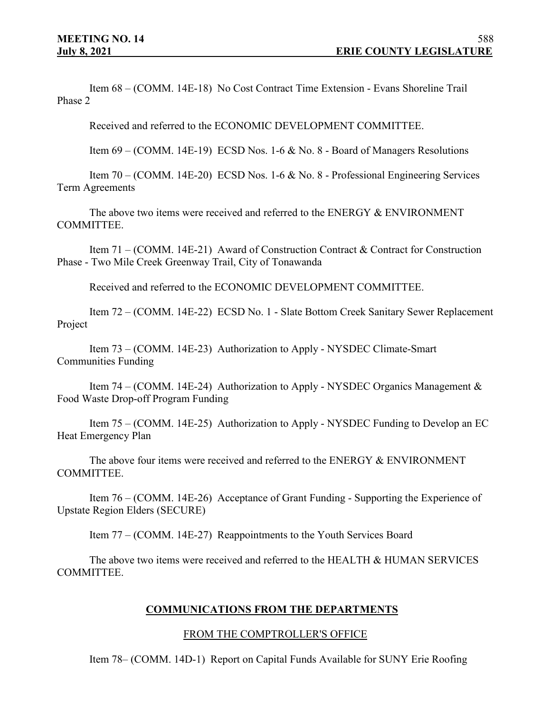Item 68 – (COMM. 14E-18) No Cost Contract Time Extension - Evans Shoreline Trail Phase 2

Received and referred to the ECONOMIC DEVELOPMENT COMMITTEE.

Item 69 – (COMM. 14E-19) ECSD Nos. 1-6 & No. 8 - Board of Managers Resolutions

Item 70 – (COMM. 14E-20) ECSD Nos. 1-6 & No. 8 - Professional Engineering Services Term Agreements

The above two items were received and referred to the ENERGY & ENVIRONMENT COMMITTEE.

Item 71 – (COMM. 14E-21) Award of Construction Contract & Contract for Construction Phase - Two Mile Creek Greenway Trail, City of Tonawanda

Received and referred to the ECONOMIC DEVELOPMENT COMMITTEE.

Item 72 – (COMM. 14E-22) ECSD No. 1 - Slate Bottom Creek Sanitary Sewer Replacement Project

Item 73 – (COMM. 14E-23) Authorization to Apply - NYSDEC Climate-Smart Communities Funding

Item 74 – (COMM. 14E-24) Authorization to Apply - NYSDEC Organics Management & Food Waste Drop-off Program Funding

Item 75 – (COMM. 14E-25) Authorization to Apply - NYSDEC Funding to Develop an EC Heat Emergency Plan

The above four items were received and referred to the ENERGY & ENVIRONMENT COMMITTEE.

Item 76 – (COMM. 14E-26) Acceptance of Grant Funding - Supporting the Experience of Upstate Region Elders (SECURE)

Item 77 – (COMM. 14E-27) Reappointments to the Youth Services Board

The above two items were received and referred to the HEALTH & HUMAN SERVICES COMMITTEE.

## **COMMUNICATIONS FROM THE DEPARTMENTS**

#### FROM THE COMPTROLLER'S OFFICE

Item 78– (COMM. 14D-1) Report on Capital Funds Available for SUNY Erie Roofing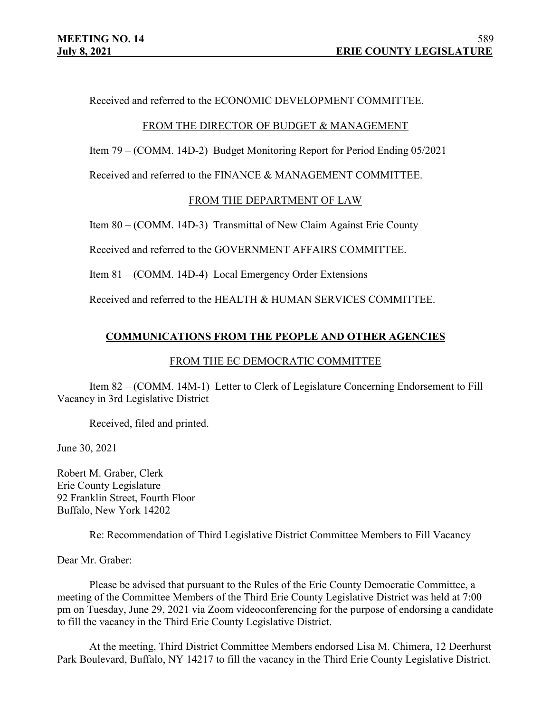Received and referred to the ECONOMIC DEVELOPMENT COMMITTEE.

## FROM THE DIRECTOR OF BUDGET & MANAGEMENT

Item 79 – (COMM. 14D-2) Budget Monitoring Report for Period Ending 05/2021

Received and referred to the FINANCE & MANAGEMENT COMMITTEE.

# FROM THE DEPARTMENT OF LAW

Item 80 – (COMM. 14D-3) Transmittal of New Claim Against Erie County

Received and referred to the GOVERNMENT AFFAIRS COMMITTEE.

Item 81 – (COMM. 14D-4) Local Emergency Order Extensions

Received and referred to the HEALTH & HUMAN SERVICES COMMITTEE.

# **COMMUNICATIONS FROM THE PEOPLE AND OTHER AGENCIES**

## FROM THE EC DEMOCRATIC COMMITTEE

Item 82 – (COMM. 14M-1) Letter to Clerk of Legislature Concerning Endorsement to Fill Vacancy in 3rd Legislative District

Received, filed and printed.

June 30, 2021

Robert M. Graber, Clerk Erie County Legislature 92 Franklin Street, Fourth Floor Buffalo, New York 14202

Re: Recommendation of Third Legislative District Committee Members to Fill Vacancy

Dear Mr. Graber:

Please be advised that pursuant to the Rules of the Erie County Democratic Committee, a meeting of the Committee Members of the Third Erie County Legislative District was held at 7:00 pm on Tuesday, June 29, 2021 via Zoom videoconferencing for the purpose of endorsing a candidate to fill the vacancy in the Third Erie County Legislative District.

At the meeting, Third District Committee Members endorsed Lisa M. Chimera, 12 Deerhurst Park Boulevard, Buffalo, NY 14217 to fill the vacancy in the Third Erie County Legislative District.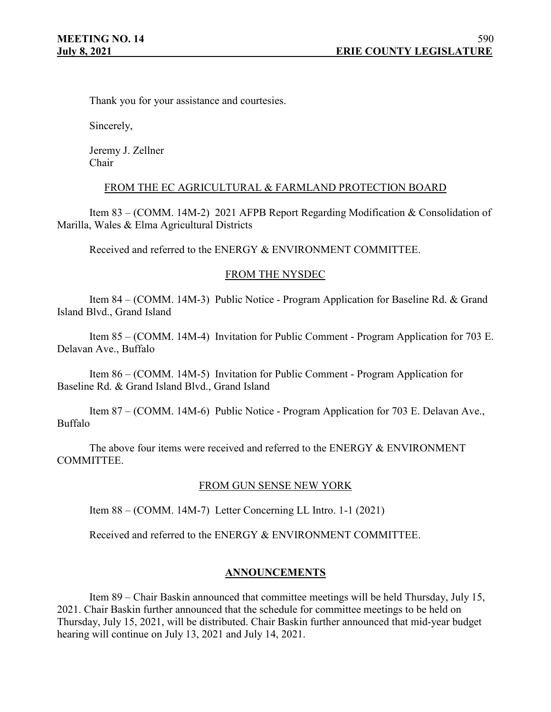Thank you for your assistance and courtesies.

Sincerely,

Jeremy J. Zellner Chair

#### FROM THE EC AGRICULTURAL & FARMLAND PROTECTION BOARD

Item 83 – (COMM. 14M-2) 2021 AFPB Report Regarding Modification & Consolidation of Marilla, Wales & Elma Agricultural Districts

Received and referred to the ENERGY & ENVIRONMENT COMMITTEE.

## FROM THE NYSDEC

Item 84 – (COMM. 14M-3) Public Notice - Program Application for Baseline Rd. & Grand Island Blvd., Grand Island

Item 85 – (COMM. 14M-4) Invitation for Public Comment - Program Application for 703 E. Delavan Ave., Buffalo

Item 86 – (COMM. 14M-5) Invitation for Public Comment - Program Application for Baseline Rd. & Grand Island Blvd., Grand Island

Item 87 – (COMM. 14M-6) Public Notice - Program Application for 703 E. Delavan Ave., Buffalo

The above four items were received and referred to the ENERGY & ENVIRONMENT COMMITTEE.

## FROM GUN SENSE NEW YORK

Item 88 – (COMM. 14M-7) Letter Concerning LL Intro. 1-1 (2021)

Received and referred to the ENERGY & ENVIRONMENT COMMITTEE.

## **ANNOUNCEMENTS**

Item 89 – Chair Baskin announced that committee meetings will be held Thursday, July 15, 2021. Chair Baskin further announced that the schedule for committee meetings to be held on Thursday, July 15, 2021, will be distributed. Chair Baskin further announced that mid-year budget hearing will continue on July 13, 2021 and July 14, 2021.